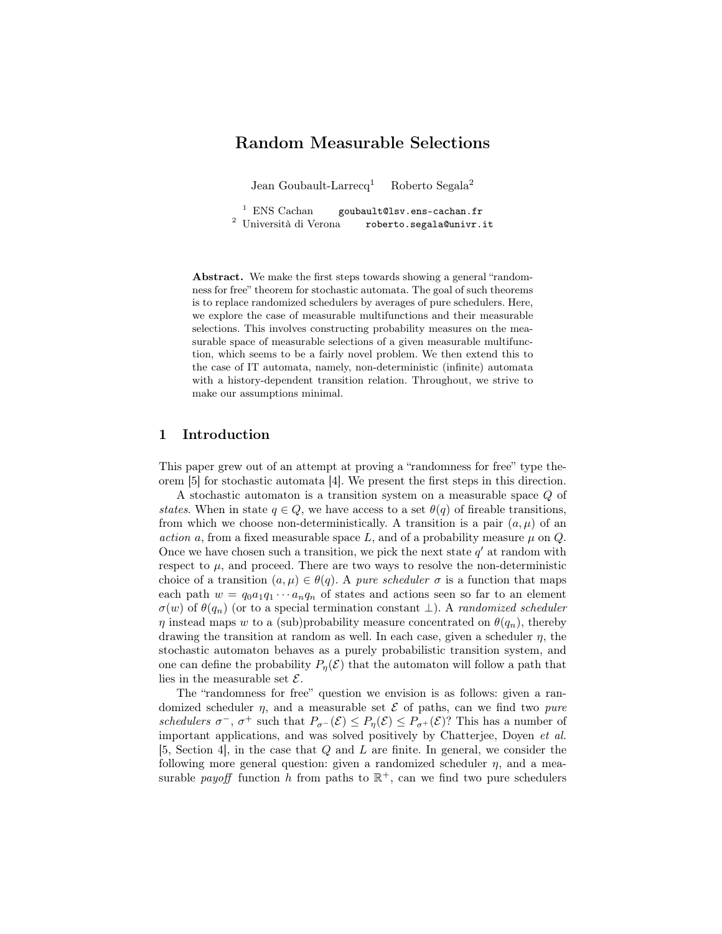# Random Measurable Selections

Jean Goubault-Larrecq<sup>1</sup> Roberto Segala<sup>2</sup>

<sup>1</sup> ENS Cachan goubault@lsv.ens-cachan.fr <sup>2</sup> Università di Verona roberto.segala@univr.it

Abstract. We make the first steps towards showing a general "randomness for free" theorem for stochastic automata. The goal of such theorems is to replace randomized schedulers by averages of pure schedulers. Here, we explore the case of measurable multifunctions and their measurable selections. This involves constructing probability measures on the measurable space of measurable selections of a given measurable multifunction, which seems to be a fairly novel problem. We then extend this to the case of IT automata, namely, non-deterministic (infinite) automata with a history-dependent transition relation. Throughout, we strive to make our assumptions minimal.

# 1 Introduction

This paper grew out of an attempt at proving a "randomness for free" type theorem [5] for stochastic automata [4]. We present the first steps in this direction.

A stochastic automaton is a transition system on a measurable space Q of states. When in state  $q \in Q$ , we have access to a set  $\theta(q)$  of fireable transitions, from which we choose non-deterministically. A transition is a pair  $(a, \mu)$  of an action a, from a fixed measurable space L, and of a probability measure  $\mu$  on Q. Once we have chosen such a transition, we pick the next state  $q'$  at random with respect to  $\mu$ , and proceed. There are two ways to resolve the non-deterministic choice of a transition  $(a, \mu) \in \theta(q)$ . A *pure scheduler*  $\sigma$  is a function that maps each path  $w = q_0 a_1 q_1 \cdots a_n q_n$  of states and actions seen so far to an element  $\sigma(w)$  of  $\theta(q_n)$  (or to a special termination constant  $\perp$ ). A *randomized scheduler*  $\eta$  instead maps w to a (sub)probability measure concentrated on  $\theta(q_n)$ , thereby drawing the transition at random as well. In each case, given a scheduler  $\eta$ , the stochastic automaton behaves as a purely probabilistic transition system, and one can define the probability  $P_{\eta}(\mathcal{E})$  that the automaton will follow a path that lies in the measurable set  $\mathcal{E}$ .

The "randomness for free" question we envision is as follows: given a randomized scheduler  $\eta$ , and a measurable set  $\mathcal E$  of paths, can we find two pure schedulers  $\sigma^-$ ,  $\sigma^+$  such that  $P_{\sigma^-}(\mathcal{E}) \leq P_{\eta}(\mathcal{E}) \leq P_{\sigma^+}(\mathcal{E})$ ? This has a number of important applications, and was solved positively by Chatterjee, Doyen et al. [5, Section 4], in the case that Q and L are finite. In general, we consider the following more general question: given a randomized scheduler  $\eta$ , and a measurable *payoff* function h from paths to  $\mathbb{R}^+$ , can we find two pure schedulers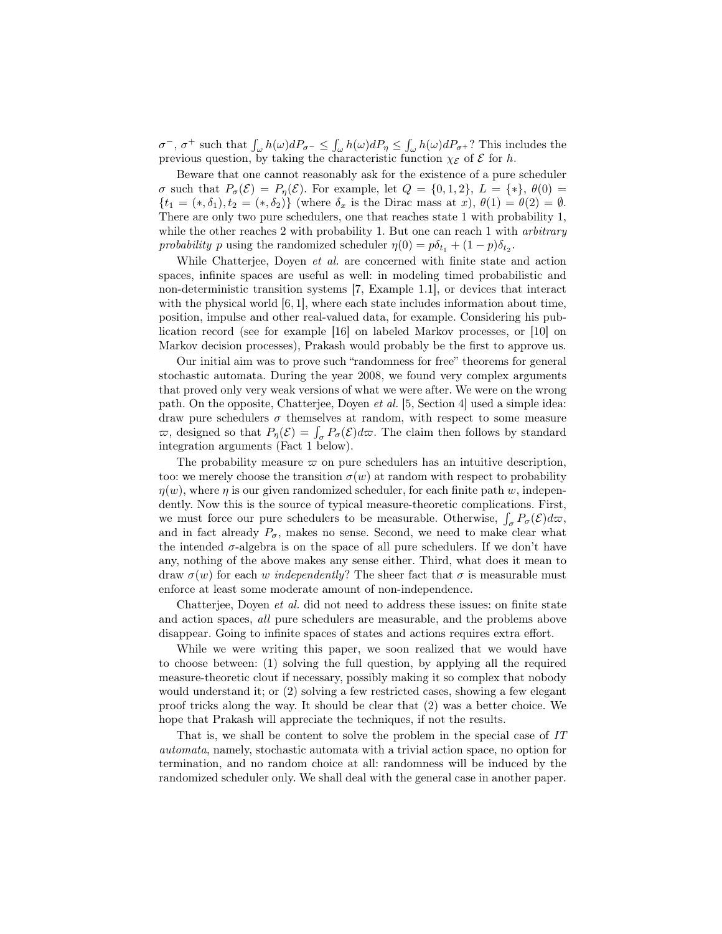$\sigma^-$ ,  $\sigma^+$  such that  $\int_{\omega} h(\omega) dP_{\sigma^-} \leq \int_{\omega} h(\omega) dP_{\eta} \leq \int_{\omega} h(\omega) dP_{\sigma^+}$ ? This includes the previous question, by taking the characteristic function  $\chi_{\mathcal{E}}$  of  $\mathcal E$  for h.

Beware that one cannot reasonably ask for the existence of a pure scheduler  $\sigma$  such that  $P_{\sigma}(\mathcal{E}) = P_{\eta}(\mathcal{E})$ . For example, let  $Q = \{0, 1, 2\}$ ,  $L = \{*\}, \theta(0) =$  $\{t_1 = (*,\delta_1), t_2 = (*,\delta_2)\}\$  (where  $\delta_x$  is the Dirac mass at  $x$ ),  $\theta(1) = \theta(2) = \emptyset$ . There are only two pure schedulers, one that reaches state 1 with probability 1, while the other reaches 2 with probability 1. But one can reach 1 with *arbitrary* probability p using the randomized scheduler  $\eta(0) = p\delta_{t_1} + (1-p)\delta_{t_2}$ .

While Chatterjee, Doyen *et al.* are concerned with finite state and action spaces, infinite spaces are useful as well: in modeling timed probabilistic and non-deterministic transition systems [7, Example 1.1], or devices that interact with the physical world [6, 1], where each state includes information about time, position, impulse and other real-valued data, for example. Considering his publication record (see for example [16] on labeled Markov processes, or [10] on Markov decision processes), Prakash would probably be the first to approve us.

Our initial aim was to prove such "randomness for free" theorems for general stochastic automata. During the year 2008, we found very complex arguments that proved only very weak versions of what we were after. We were on the wrong path. On the opposite, Chatterjee, Doyen et al. [5, Section 4] used a simple idea: draw pure schedulers  $\sigma$  themselves at random, with respect to some measure  $\varpi$ , designed so that  $P_{\eta}(\mathcal{E}) = \int_{\sigma} P_{\sigma}(\mathcal{E}) d\varpi$ . The claim then follows by standard integration arguments (Fact 1 below).

The probability measure  $\varpi$  on pure schedulers has an intuitive description, too: we merely choose the transition  $\sigma(w)$  at random with respect to probability  $\eta(w)$ , where  $\eta$  is our given randomized scheduler, for each finite path w, independently. Now this is the source of typical measure-theoretic complications. First, we must force our pure schedulers to be measurable. Otherwise,  $\int_{\sigma} P_{\sigma}(\mathcal{E}) d\omega$ , and in fact already  $P_{\sigma}$ , makes no sense. Second, we need to make clear what the intended  $\sigma$ -algebra is on the space of all pure schedulers. If we don't have any, nothing of the above makes any sense either. Third, what does it mean to draw  $\sigma(w)$  for each w independently? The sheer fact that  $\sigma$  is measurable must enforce at least some moderate amount of non-independence.

Chatterjee, Doyen et al. did not need to address these issues: on finite state and action spaces, all pure schedulers are measurable, and the problems above disappear. Going to infinite spaces of states and actions requires extra effort.

While we were writing this paper, we soon realized that we would have to choose between: (1) solving the full question, by applying all the required measure-theoretic clout if necessary, possibly making it so complex that nobody would understand it; or (2) solving a few restricted cases, showing a few elegant proof tricks along the way. It should be clear that (2) was a better choice. We hope that Prakash will appreciate the techniques, if not the results.

That is, we shall be content to solve the problem in the special case of IT automata, namely, stochastic automata with a trivial action space, no option for termination, and no random choice at all: randomness will be induced by the randomized scheduler only. We shall deal with the general case in another paper.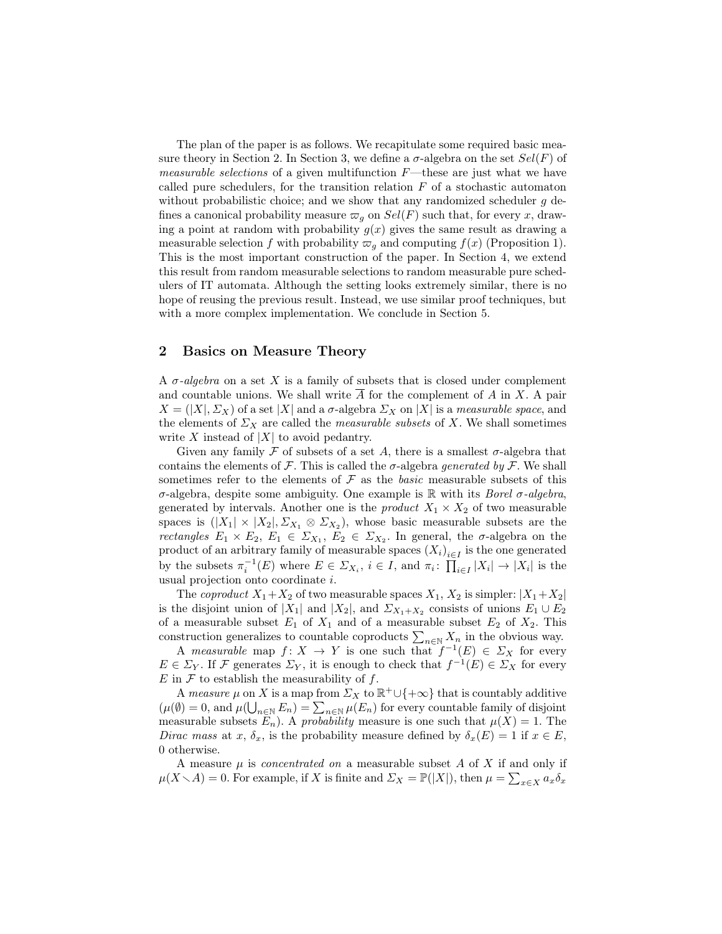The plan of the paper is as follows. We recapitulate some required basic measure theory in Section 2. In Section 3, we define a  $\sigma$ -algebra on the set  $Sel(F)$  of *measurable selections* of a given multifunction  $F$ —these are just what we have called pure schedulers, for the transition relation  $F$  of a stochastic automaton without probabilistic choice; and we show that any randomized scheduler  $g$  defines a canonical probability measure  $\varpi_q$  on  $Sel(F)$  such that, for every x, drawing a point at random with probability  $g(x)$  gives the same result as drawing a measurable selection f with probability  $\varpi_q$  and computing  $f(x)$  (Proposition 1). This is the most important construction of the paper. In Section 4, we extend this result from random measurable selections to random measurable pure schedulers of IT automata. Although the setting looks extremely similar, there is no hope of reusing the previous result. Instead, we use similar proof techniques, but with a more complex implementation. We conclude in Section 5.

## 2 Basics on Measure Theory

A  $\sigma$ -algebra on a set X is a family of subsets that is closed under complement and countable unions. We shall write  $\overline{A}$  for the complement of A in X. A pair  $X = (X|, \Sigma_X)$  of a set |X| and a  $\sigma$ -algebra  $\Sigma_X$  on |X| is a measurable space, and the elements of  $\Sigma_X$  are called the *measurable subsets* of X. We shall sometimes write X instead of  $|X|$  to avoid pedantry.

Given any family F of subsets of a set A, there is a smallest  $\sigma$ -algebra that contains the elements of  $\mathcal F$ . This is called the  $\sigma$ -algebra *generated by*  $\mathcal F$ . We shall sometimes refer to the elements of  $\mathcal F$  as the *basic* measurable subsets of this σ-algebra, despite some ambiguity. One example is R with its Borel σ-algebra, generated by intervals. Another one is the *product*  $X_1 \times X_2$  of two measurable spaces is  $(|X_1| \times |X_2|, \Sigma_{X_1} \otimes \Sigma_{X_2})$ , whose basic measurable subsets are the *rectangles*  $E_1 \times E_2$ ,  $E_1 \in \Sigma_{X_1}$ ,  $E_2 \in \Sigma_{X_2}$ . In general, the  $\sigma$ -algebra on the product of an arbitrary family of measurable spaces  $(X_i)_{i \in I}$  is the one generated by the subsets  $\pi_i^{-1}(E)$  where  $E \in \Sigma_{X_i}$ ,  $i \in I$ , and  $\pi_i: \prod_{i \in I} |X_i| \to |X_i|$  is the usual projection onto coordinate i.

The *coproduct*  $X_1+X_2$  of two measurable spaces  $X_1, X_2$  is simpler:  $|X_1+X_2|$ is the disjoint union of  $|X_1|$  and  $|X_2|$ , and  $\Sigma_{X_1+X_2}$  consists of unions  $E_1 \cup E_2$ of a measurable subset  $E_1$  of  $X_1$  and of a measurable subset  $E_2$  of  $X_2$ . This construction generalizes to countable coproducts  $\sum_{n\in\mathbb{N}} X_n$  in the obvious way.

A measurable map  $f: X \to Y$  is one such that  $f^{-1}(E) \in \Sigma_X$  for every  $E \in \Sigma_Y$ . If F generates  $\Sigma_Y$ , it is enough to check that  $f^{-1}(E) \in \Sigma_X$  for every  $E$  in  $\mathcal F$  to establish the measurability of  $f$ .

A measure  $\mu$  on X is a map from  $\Sigma_X$  to  $\mathbb{R}^+\cup\{+\infty\}$  that is countably additive  $(\mu(\emptyset)) = 0$ , and  $\mu(\bigcup_{n \in \mathbb{N}} E_n) = \sum_{n \in \mathbb{N}} \mu(E_n)$  for every countable family of disjoint measurable subsets  $E_n$ ). A probability measure is one such that  $\mu(X) = 1$ . The Dirac mass at x,  $\delta_x$ , is the probability measure defined by  $\delta_x(E) = 1$  if  $x \in E$ , 0 otherwise.

A measure  $\mu$  is *concentrated on* a measurable subset  $A$  of  $X$  if and only if  $\mu(X \setminus A) = 0$ . For example, if X is finite and  $\Sigma_X = \mathbb{P}(|X|)$ , then  $\mu = \sum_{x \in X} a_x \delta_x$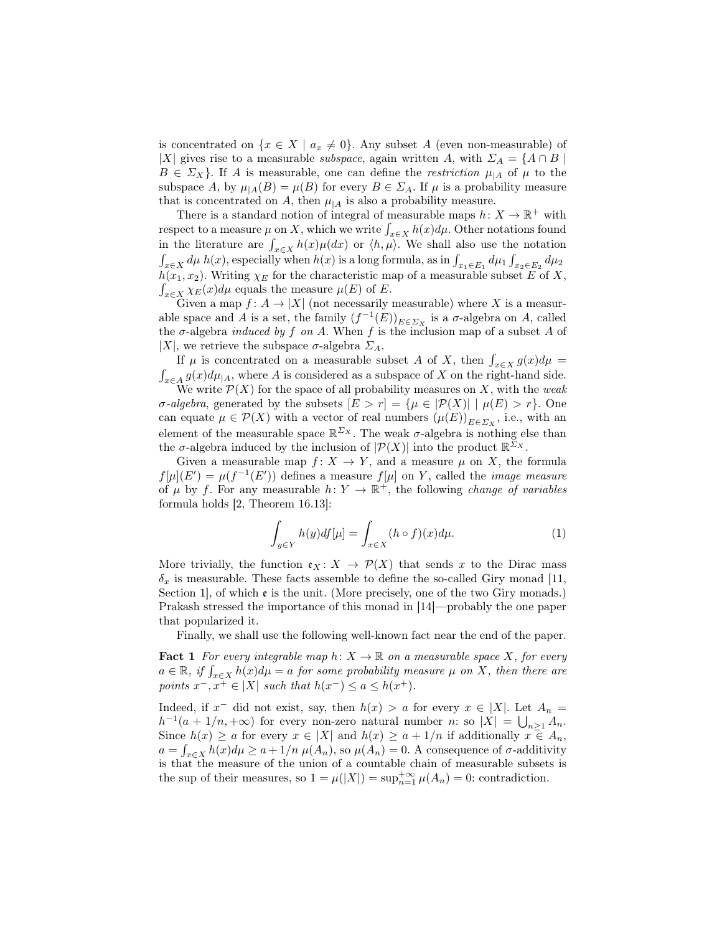is concentrated on  $\{x \in X \mid a_x \neq 0\}$ . Any subset A (even non-measurable) of |X| gives rise to a measurable *subspace*, again written A, with  $\Sigma_A = \{A \cap B \mid A \cap B \}$  $B \in \Sigma_X$ . If A is measurable, one can define the *restriction*  $\mu_{|A}$  of  $\mu$  to the subspace A, by  $\mu_{|A}(B) = \mu(B)$  for every  $B \in \Sigma_A$ . If  $\mu$  is a probability measure that is concentrated on A, then  $\mu_{A}$  is also a probability measure.

There is a standard notion of integral of measurable maps  $h: X \to \mathbb{R}^+$  with respect to a measure  $\mu$  on X, which we write  $\int_{x \in X} h(x) d\mu$ . Other notations found in the literature are  $\int_{x \in X} h(x) \mu(dx)$  or  $\langle h, \mu \rangle$ . We shall also use the notation  $\int_{x \in X} d\mu h(x)$ , especially when  $h(x)$  is a long formula, as in  $\int_{x_1 \in E_1} d\mu_1 \int_{x_2 \in E_2} d\mu_2$  $h(x_1, x_2)$ . Writing  $\chi_E$  for the characteristic map of a measurable subset E of X,  $\int_{x \in X} \chi_E(x) d\mu$  equals the measure  $\mu(E)$  of E.

Given a map  $f: A \to |X|$  (not necessarily measurable) where X is a measurable space and A is a set, the family  $(f^{-1}(E))_{E \in \Sigma_X}$  is a  $\sigma$ -algebra on A, called the  $\sigma$ -algebra *induced by f on A*. When f is the inclusion map of a subset A of |X|, we retrieve the subspace  $\sigma$ -algebra  $\Sigma_A$ .

If  $\mu$  is concentrated on a measurable subset A of X, then  $\int_{x \in X} g(x) d\mu =$  $\int_{x \in A} g(x) d\mu_{|A}$ , where A is considered as a subspace of X on the right-hand side. We write  $\mathcal{P}(X)$  for the space of all probability measures on X, with the weak σ-algebra, generated by the subsets  $[E > r] = {\mu \in |\mathcal{P}(X)| | \mu(E) > r}.$  One can equate  $\mu \in \mathcal{P}(X)$  with a vector of real numbers  $(\mu(E))_{E \in \Sigma_X}$ , i.e., with an element of the measurable space  $\mathbb{R}^{\Sigma_X}$ . The weak  $\sigma$ -algebra is nothing else than the  $\sigma$ -algebra induced by the inclusion of  $|\mathcal{P}(X)|$  into the product  $\mathbb{R}^{\bar{\Sigma}_X}$ .

Given a measurable map  $f: X \to Y$ , and a measure  $\mu$  on X, the formula  $f[\mu](E') = \mu(f^{-1}(E'))$  defines a measure  $f[\mu]$  on Y, called the *image measure* of  $\mu$  by f. For any measurable  $h: Y \to \mathbb{R}^+$ , the following *change of variables* formula holds [2, Theorem 16.13]:

$$
\int_{y \in Y} h(y) df[\mu] = \int_{x \in X} (h \circ f)(x) d\mu.
$$
\n(1)

More trivially, the function  $\mathfrak{e}_X : X \to \mathcal{P}(X)$  that sends x to the Dirac mass  $\delta_x$  is measurable. These facts assemble to define the so-called Giry monad [11, Section 1, of which  $\mathfrak e$  is the unit. (More precisely, one of the two Giry monads.) Prakash stressed the importance of this monad in [14]—probably the one paper that popularized it.

Finally, we shall use the following well-known fact near the end of the paper.

**Fact 1** For every integrable map  $h: X \to \mathbb{R}$  on a measurable space X, for every  $a \in \mathbb{R}$ , if  $\int_{x \in X} h(x) d\mu = a$  for some probability measure  $\mu$  on X, then there are points  $x^-, x^+ \in |X|$  such that  $h(x^-) \le a \le h(x^+)$ .

Indeed, if  $x^-$  did not exist, say, then  $h(x) > a$  for every  $x \in |X|$ . Let  $A_n =$  $h^{-1}(a+1/n, +\infty)$  for every non-zero natural number n: so  $|X| = \bigcup_{n\geq 1} A_n$ . Since  $h(x) \ge a$  for every  $x \in |X|$  and  $h(x) \ge a + 1/n$  if additionally  $x \in A_n$ ,  $a = \int_{x \in X} h(x) d\mu \ge a + 1/n \mu(A_n)$ , so  $\mu(A_n) = 0$ . A consequence of  $\sigma$ -additivity is that the measure of the union of a countable chain of measurable subsets is the sup of their measures, so  $1 = \mu(|X|) = \sup_{n=1}^{+\infty} \mu(A_n) = 0$ : contradiction.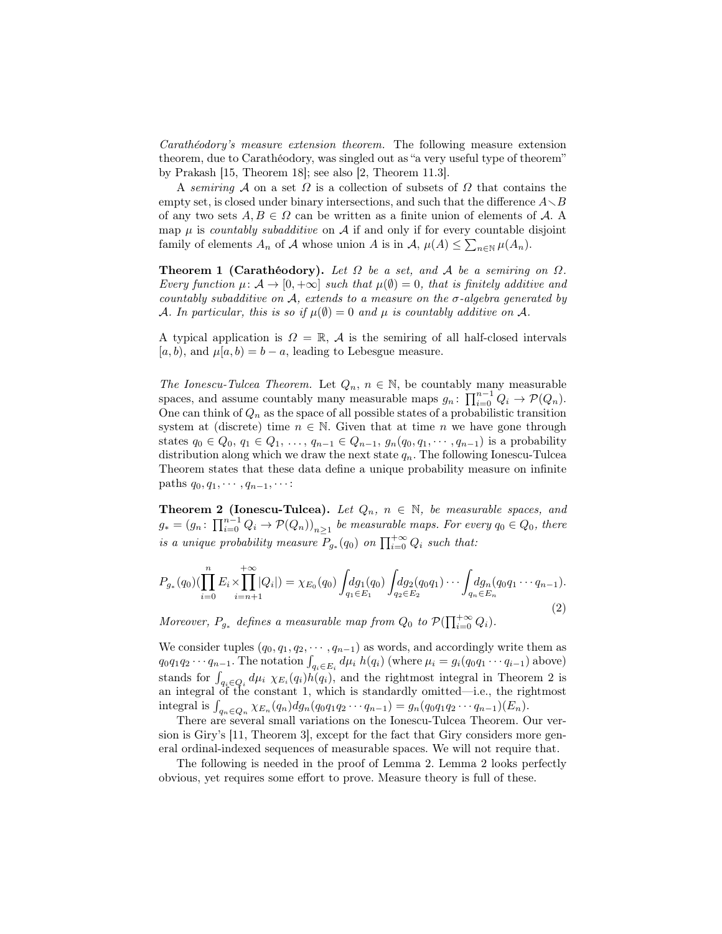Carathéodory's measure extension theorem. The following measure extension theorem, due to Carathéodory, was singled out as "a very useful type of theorem" by Prakash [15, Theorem 18]; see also [2, Theorem 11.3].

A semiring A on a set  $\Omega$  is a collection of subsets of  $\Omega$  that contains the empty set, is closed under binary intersections, and such that the difference  $A \setminus B$ of any two sets  $A, B \in \Omega$  can be written as a finite union of elements of A. A map  $\mu$  is *countably subadditive* on  $\mathcal A$  if and only if for every countable disjoint family of elements  $A_n$  of  $A$  whose union  $A$  is in  $A, \mu(A) \leq \sum_{n \in \mathbb{N}} \mu(A_n)$ .

**Theorem 1 (Carathéodory).** Let  $\Omega$  be a set, and  $\mathcal A$  be a semiring on  $\Omega$ . Every function  $\mu: \mathcal{A} \to [0, +\infty]$  such that  $\mu(\emptyset) = 0$ , that is finitely additive and countably subadditive on  $A$ , extends to a measure on the  $\sigma$ -algebra generated by A. In particular, this is so if  $\mu(\emptyset) = 0$  and  $\mu$  is countably additive on A.

A typical application is  $\Omega = \mathbb{R}$ , A is the semiring of all half-closed intervals [a, b), and  $\mu[a, b] = b - a$ , leading to Lebesgue measure.

The Ionescu-Tulcea Theorem. Let  $Q_n$ ,  $n \in \mathbb{N}$ , be countably many measurable spaces, and assume countably many measurable maps  $g_n$ :  $\prod_{i=0}^{n-1} Q_i \to \mathcal{P}(Q_n)$ . One can think of  $Q_n$  as the space of all possible states of a probabilistic transition system at (discrete) time  $n \in \mathbb{N}$ . Given that at time n we have gone through states  $q_0 \in Q_0, q_1 \in Q_1, \ldots, q_{n-1} \in Q_{n-1}, g_n(q_0, q_1, \cdots, q_{n-1})$  is a probability distribution along which we draw the next state  $q_n$ . The following Ionescu-Tulcea Theorem states that these data define a unique probability measure on infinite paths  $q_0, q_1, \cdots, q_{n-1}, \cdots$ :

**Theorem 2 (Ionescu-Tulcea).** Let  $Q_n$ ,  $n \in \mathbb{N}$ , be measurable spaces, and  $g_* = (g_n: \prod_{i=0}^{n-1} Q_i \to \mathcal{P}(Q_n))_{n \geq 1}$  be measurable maps. For every  $q_0 \in Q_0$ , there is a unique probability measure  $P_{g_*}(q_0)$  on  $\prod_{i=0}^{+\infty} Q_i$  such that:

$$
P_{g_*}(q_0)(\prod_{i=0}^n E_i \times \prod_{i=n+1}^{+\infty} |Q_i|) = \chi_{E_0}(q_0) \int_{q_1 \in E_1} dg_1(q_0) \int_{q_2 \in E_2} dg_2(q_0 q_1) \cdots \int_{q_n \in E_n} dg_n(q_0 q_1 \cdots q_{n-1}).
$$
\n(2)

Moreover,  $P_{g_*}$  defines a measurable map from  $Q_0$  to  $\mathcal{P}(\prod_{i=0}^{+\infty} Q_i)$ .

We consider tuples  $(q_0, q_1, q_2, \dots, q_{n-1})$  as words, and accordingly write them as  $q_0q_1q_2\cdots q_{n-1}$ . The notation  $\int_{q_i\in E_i} d\mu_i h(q_i)$  (where  $\mu_i = g_i(q_0q_1\cdots q_{i-1})$  above) stands for  $\int_{q_i \in Q_i} d\mu_i \chi_{E_i}(q_i) h(q_i)$ , and the rightmost integral in Theorem 2 is an integral of the constant 1, which is standardly omitted—i.e., the rightmost integral is  $\int_{q_n \in Q_n} \chi_{E_n}(q_n) dg_n(q_0q_1q_2 \cdots q_{n-1}) = g_n(q_0q_1q_2 \cdots q_{n-1})(E_n).$ 

There are several small variations on the Ionescu-Tulcea Theorem. Our version is Giry's [11, Theorem 3], except for the fact that Giry considers more general ordinal-indexed sequences of measurable spaces. We will not require that.

The following is needed in the proof of Lemma 2. Lemma 2 looks perfectly obvious, yet requires some effort to prove. Measure theory is full of these.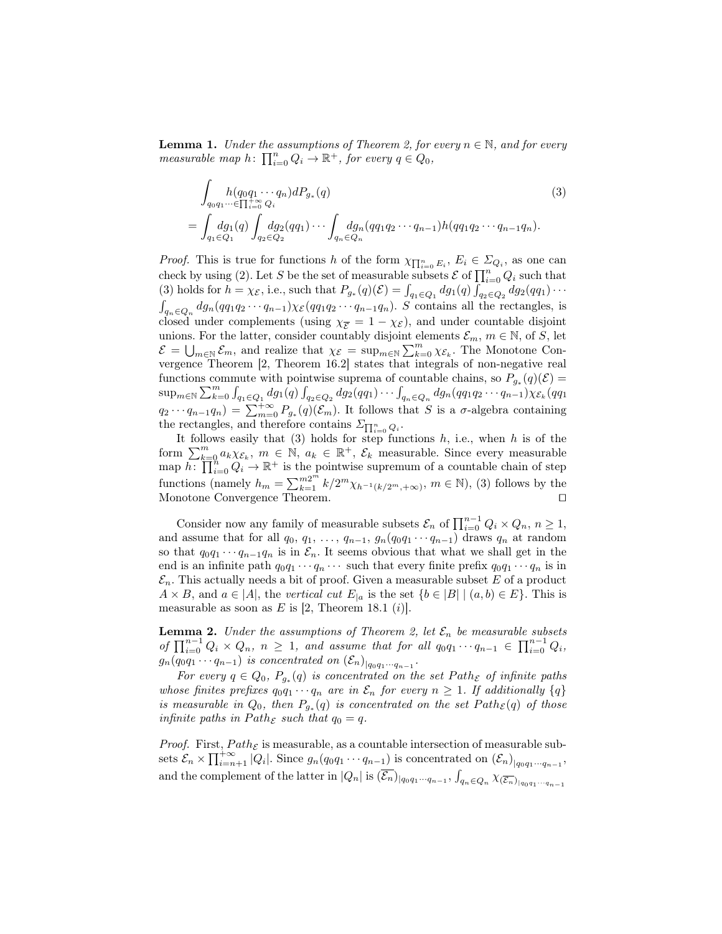**Lemma 1.** Under the assumptions of Theorem 2, for every  $n \in \mathbb{N}$ , and for every measurable map  $h: \prod_{i=0}^{n} Q_i \to \mathbb{R}^+$ , for every  $q \in Q_0$ ,

$$
\int_{q_0 q_1 \cdots \in \prod_{i=0}^{+\infty} Q_i} h(q_0 q_1 \cdots q_n) dP_{g_*}(q)
$$
\n
$$
= \int_{q_1 \in Q_1} dg_1(q) \int_{q_2 \in Q_2} dg_2(qq_1) \cdots \int_{q_n \in Q_n} dg_n(qq_1 q_2 \cdots q_{n-1}) h(qq_1 q_2 \cdots q_{n-1} q_n).
$$
\n(3)

*Proof.* This is true for functions h of the form  $\chi_{\prod_{i=0}^n E_i}$ ,  $E_i \in \Sigma_{Q_i}$ , as one can check by using (2). Let S be the set of measurable subsets  $\mathcal E$  of  $\prod_{i=0}^n Q_i$  such that (3) holds for  $h = \chi_{\mathcal{E}}$ , i.e., such that  $P_{g_*}(q)(\mathcal{E}) = \int_{q_1 \in Q_1} dg_1(q) \int_{q_2 \in Q_2} dg_2(qq_1) \cdots$  $\int_{q_n \in Q_n} dg_n(qq_1q_2\cdots q_{n-1})\chi_{\mathcal{E}}(qq_1q_2\cdots q_{n-1}q_n)$ . S contains all the rectangles, is closed under complements (using  $\chi_{\overline{E}} = 1 - \chi_{\mathcal{E}}$ ), and under countable disjoint unions. For the latter, consider countably disjoint elements  $\mathcal{E}_m$ ,  $m \in \mathbb{N}$ , of S, let  $\mathcal{E} = \bigcup_{m \in \mathbb{N}} \mathcal{E}_m$ , and realize that  $\chi_{\mathcal{E}} = \sup_{m \in \mathbb{N}} \sum_{k=0}^m \chi_{\mathcal{E}_k}$ . The Monotone Convergence Theorem [2, Theorem 16.2] states that integrals of non-negative real functions commute with pointwise suprema of countable chains, so  $P_{g_*}(q)(\mathcal{E}) =$  $\sup_{m\in\mathbb{N}}\sum_{k=0}^{m}\int_{q_1\in Q_1}dg_1(q)\int_{q_2\in Q_2}dg_2(qq_1)\cdots\int_{q_n\in Q_n}dg_n(qq_1q_2\cdots q_{n-1})\chi_{\mathcal{E}_k}(qq_1)$  $q_2 \cdots q_{n-1} q_n = \sum_{m=0}^{+\infty} P_{g_*}(q) (\mathcal{E}_m)$ . It follows that S is a  $\sigma$ -algebra containing the rectangles, and therefore contains  $\varSigma_{\prod_{i=0}^n Q_i}$ .

It follows easily that  $(3)$  holds for step functions  $h$ , i.e., when  $h$  is of the form  $\sum_{k=0}^{m} a_k \chi_{\mathcal{E}_k}$ ,  $m \in \mathbb{N}$ ,  $a_k \in \mathbb{R}^+$ ,  $\mathcal{E}_k$  measurable. Since every measurable map  $h: \prod_{i=0}^{\infty} Q_i \to \mathbb{R}^+$  is the pointwise supremum of a countable chain of step functions (namely  $h_m = \sum_{k=1}^{m2^m} k/2^m \chi_{h^{-1}(k/2^m, +\infty)}, m \in \mathbb{N}$ ), (3) follows by the Monotone Convergence Theorem.

Consider now any family of measurable subsets  $\mathcal{E}_n$  of  $\prod_{i=0}^{n-1} Q_i \times Q_n$ ,  $n \geq 1$ , and assume that for all  $q_0, q_1, \ldots, q_{n-1}, g_n(q_0q_1 \cdots q_{n-1})$  draws  $q_n$  at random so that  $q_0q_1 \cdots q_{n-1}q_n$  is in  $\mathcal{E}_n$ . It seems obvious that what we shall get in the end is an infinite path  $q_0q_1 \cdots q_n \cdots$  such that every finite prefix  $q_0q_1 \cdots q_n$  is in  $\mathcal{E}_n$ . This actually needs a bit of proof. Given a measurable subset E of a product  $A \times B$ , and  $a \in |A|$ , the vertical cut  $E_{|a}$  is the set  $\{b \in |B| \mid (a, b) \in E\}$ . This is measurable as soon as E is [2, Theorem 18.1 (i)].

**Lemma 2.** Under the assumptions of Theorem 2, let  $\mathcal{E}_n$  be measurable subsets of  $\prod_{i=0}^{n-1} Q_i \times Q_n$ ,  $n \geq 1$ , and assume that for all  $q_0q_1 \cdots q_{n-1} \in \prod_{i=0}^{n-1} Q_i$ ,  $g_n(q_0q_1\cdots q_{n-1})$  is concentrated on  $(\mathcal{E}_n)_{|q_0q_1\cdots q_{n-1}}$ .

For every  $q \in Q_0$ ,  $P_{g_*}(q)$  is concentrated on the set  $Path_{\mathcal{E}}$  of infinite paths whose finites prefixes  $q_0q_1 \cdots q_n$  are in  $\mathcal{E}_n$  for every  $n \geq 1$ . If additionally  $\{q\}$ is measurable in  $Q_0$ , then  $P_{g_*}(q)$  is concentrated on the set  $Path_{\mathcal{E}}(q)$  of those infinite paths in Path<sub> $\varepsilon$ </sub> such that  $q_0 = q$ .

*Proof.* First,  $Path_{\mathcal{E}}$  is measurable, as a countable intersection of measurable subsets  $\mathcal{E}_n \times \prod_{i=n+1}^{+\infty} |Q_i|$ . Since  $g_n(q_0q_1 \cdots q_{n-1})$  is concentrated on  $(\mathcal{E}_n)_{|q_0q_1 \cdots q_{n-1}}$ , and the complement of the latter in  $|Q_n|$  is  $(\overline{\mathcal{E}_n})_{|q_0q_1\cdots q_{n-1}}, \int_{q_n\in Q_n}\chi_{(\overline{\mathcal{E}_n})_{|q_0q_1\cdots q_{n-1}}}$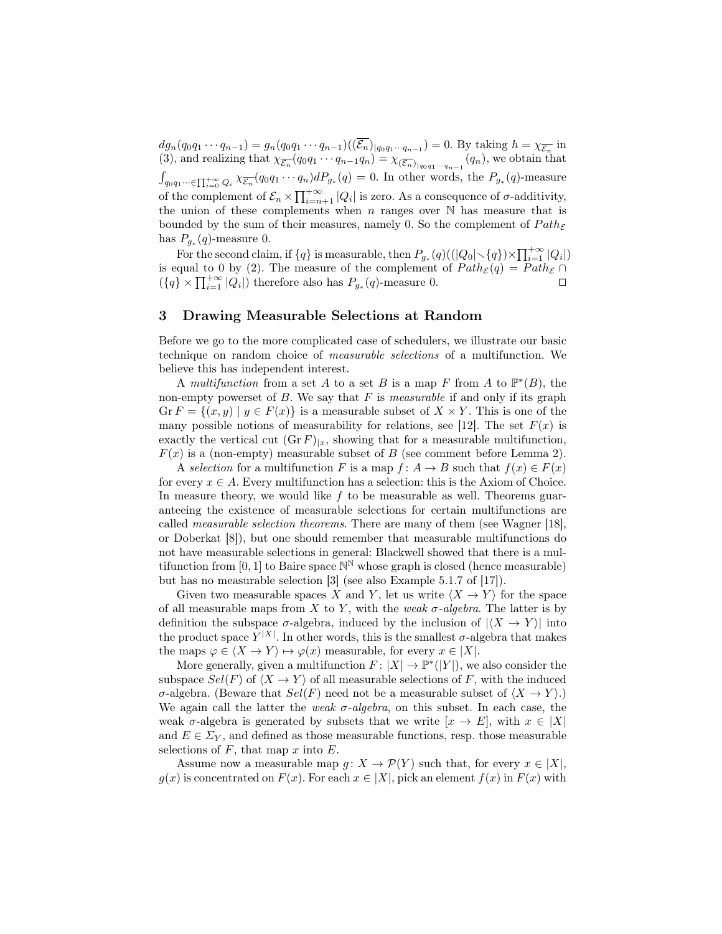$dg_n(q_0q_1 \cdots q_{n-1}) = g_n(q_0q_1 \cdots q_{n-1})((\mathcal{E}_n)_{q_0q_1 \cdots q_{n-1}}) = 0.$  By taking  $h = \chi_{\overline{\mathcal{E}_n}}$  in (3), and realizing that  $\chi_{\overline{\mathcal{E}_n}}(q_0q_1 \cdots q_{n-1}q_n) = \chi_{(\overline{\mathcal{E}_n})_{|q_0q_1\cdots q_{n-1}}}(q_n)$ , we obtain that  $\int_{q_0q_1\cdots\in\Pi_{i=0}^{+\infty}Q_i}\chi_{\overline{\mathcal{E}_n}}(q_0q_1\cdots q_n)dP_{g_*}(q)=0.$  In other words, the  $P_{g_*}(q)$ -measure of the complement of  $\mathcal{E}_n \times \prod_{i=n+1}^{+\infty} |Q_i|$  is zero. As a consequence of  $\sigma$ -additivity, the union of these complements when  $n$  ranges over  $\mathbb N$  has measure that is bounded by the sum of their measures, namely 0. So the complement of  $Path_{\mathcal{E}}$ has  $P_{g_*}(q)$ -measure 0.

For the second claim, if  $\{q\}$  is measurable, then  $P_{g_*}(q)((|Q_0|\leq q) \times \prod_{i=1}^{+\infty} |Q_i|)$ is equal to 0 by (2). The measure of the complement of  $Path_{\mathcal{E}}(q) = Path_{\mathcal{E}} \cap$  $({q} \times \prod_{i=1}^{+\infty} |Q_i|)$  therefore also has  $P_{g_*}(q)$ -measure 0.

#### 3 Drawing Measurable Selections at Random

Before we go to the more complicated case of schedulers, we illustrate our basic technique on random choice of measurable selections of a multifunction. We believe this has independent interest.

A multifunction from a set A to a set B is a map F from A to  $\mathbb{P}^*(B)$ , the non-empty powerset of  $B$ . We say that  $F$  is *measurable* if and only if its graph  $\operatorname{Gr} F = \{(x, y) \mid y \in F(x)\}\$ is a measurable subset of  $X \times Y$ . This is one of the many possible notions of measurability for relations, see [12]. The set  $F(x)$  is exactly the vertical cut  $(\text{Gr } F)|_x$ , showing that for a measurable multifunction,  $F(x)$  is a (non-empty) measurable subset of B (see comment before Lemma 2).

A selection for a multifunction F is a map  $f: A \to B$  such that  $f(x) \in F(x)$ for every  $x \in A$ . Every multifunction has a selection: this is the Axiom of Choice. In measure theory, we would like  $f$  to be measurable as well. Theorems guaranteeing the existence of measurable selections for certain multifunctions are called measurable selection theorems. There are many of them (see Wagner [18], or Doberkat [8]), but one should remember that measurable multifunctions do not have measurable selections in general: Blackwell showed that there is a multifunction from [0, 1] to Baire space  $\mathbb{N}^{\mathbb{N}}$  whose graph is closed (hence measurable) but has no measurable selection [3] (see also Example 5.1.7 of [17]).

Given two measurable spaces X and Y, let us write  $\langle X \rightarrow Y \rangle$  for the space of all measurable maps from X to Y, with the weak  $\sigma$ -algebra. The latter is by definition the subspace  $\sigma$ -algebra, induced by the inclusion of  $|\langle X \rightarrow Y \rangle|$  into the product space  $Y^{|X|}$ . In other words, this is the smallest  $\sigma$ -algebra that makes the maps  $\varphi \in \langle X \to Y \rangle \mapsto \varphi(x)$  measurable, for every  $x \in |X|$ .

More generally, given a multifunction  $F: |X| \to \mathbb{P}^*(|Y|)$ , we also consider the subspace  $Sel(F)$  of  $\langle X \rightarrow Y \rangle$  of all measurable selections of F, with the induced σ-algebra. (Beware that  $Sel(F)$  need not be a measurable subset of  $\langle X \rightarrow Y \rangle$ .) We again call the latter the *weak*  $\sigma$ -*algebra*, on this subset. In each case, the weak  $\sigma$ -algebra is generated by subsets that we write  $[x \to E]$ , with  $x \in X$ and  $E \in \Sigma_Y$ , and defined as those measurable functions, resp. those measurable selections of  $F$ , that map  $x$  into  $E$ .

Assume now a measurable map  $g: X \to \mathcal{P}(Y)$  such that, for every  $x \in |X|$ ,  $g(x)$  is concentrated on  $F(x)$ . For each  $x \in |X|$ , pick an element  $f(x)$  in  $F(x)$  with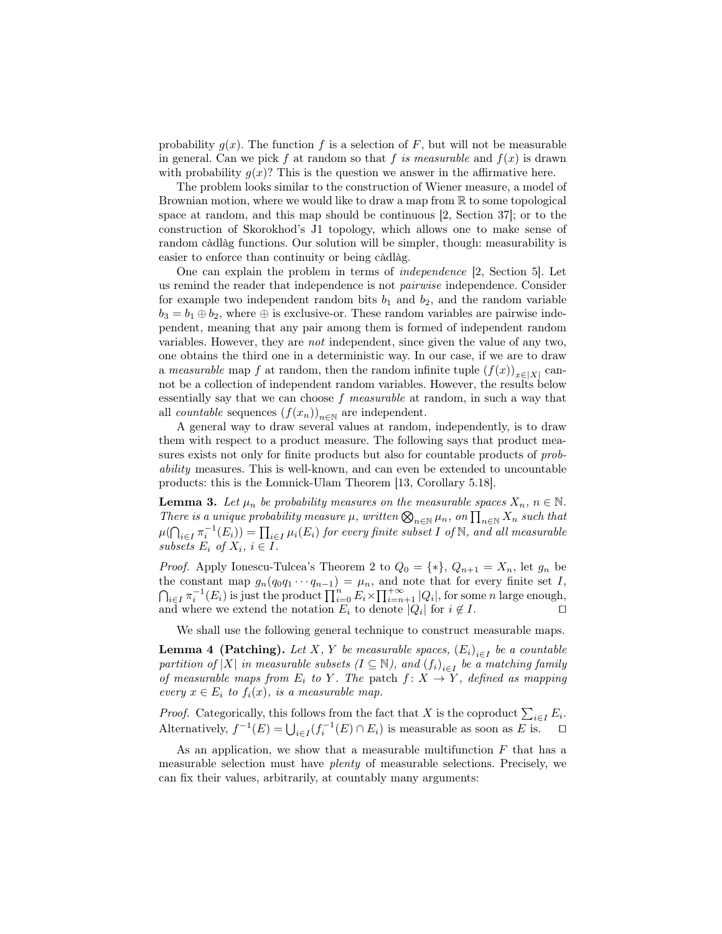probability  $g(x)$ . The function f is a selection of F, but will not be measurable in general. Can we pick f at random so that f is measurable and  $f(x)$  is drawn with probability  $g(x)$ ? This is the question we answer in the affirmative here.

The problem looks similar to the construction of Wiener measure, a model of Brownian motion, where we would like to draw a map from R to some topological space at random, and this map should be continuous [2, Section 37]; or to the construction of Skorokhod's J1 topology, which allows one to make sense of random càdlàg functions. Our solution will be simpler, though: measurability is easier to enforce than continuity or being càdlàg.

One can explain the problem in terms of independence [2, Section 5]. Let us remind the reader that independence is not pairwise independence. Consider for example two independent random bits  $b_1$  and  $b_2$ , and the random variable  $b_3 = b_1 \oplus b_2$ , where  $\oplus$  is exclusive-or. These random variables are pairwise independent, meaning that any pair among them is formed of independent random variables. However, they are not independent, since given the value of any two, one obtains the third one in a deterministic way. In our case, if we are to draw a measurable map f at random, then the random infinite tuple  $(f(x))_{x \in |X|}$  cannot be a collection of independent random variables. However, the results below essentially say that we can choose f measurable at random, in such a way that all *countable* sequences  $(f(x_n))_{n\in\mathbb{N}}$  are independent.

A general way to draw several values at random, independently, is to draw them with respect to a product measure. The following says that product measures exists not only for finite products but also for countable products of probability measures. This is well-known, and can even be extended to uncountable products: this is the Łomnick-Ulam Theorem [13, Corollary 5.18].

**Lemma 3.** Let  $\mu_n$  be probability measures on the measurable spaces  $X_n$ ,  $n \in \mathbb{N}$ . There is a unique probability measure  $\mu$ , written  $\bigotimes_{n\in\mathbb{N}}\mu_n$ , on  $\prod_{n\in\mathbb{N}}X_n$  such that  $\mu(\bigcap_{i\in I}\pi_i^{-1}(E_i))=\prod_{i\in I}\mu_i(E_i)$  for every finite subset I of  $\mathbb N,$  and all measurable subsets  $E_i$  of  $X_i$ ,  $i \in I$ .

*Proof.* Apply Ionescu-Tulcea's Theorem 2 to  $Q_0 = \{*\}$ ,  $Q_{n+1} = X_n$ , let  $g_n$  be the constant map  $g_n(q_0q_1\cdots q_{n-1}) = \mu_n$ , and note that for every finite set I,  $\bigcap_{i\in I}\pi_i^{-1}(E_i)$  is just the product  $\prod_{i=0}^n E_i \times \prod_{i=n+1}^{+\infty} |Q_i|$ , for some n large enough, and where we extend the notation  $E_i$  to denote  $|Q_i|$  for  $i \notin I$ .

We shall use the following general technique to construct measurable maps.

**Lemma 4 (Patching).** Let X, Y be measurable spaces,  $(E_i)_{i \in I}$  be a countable partition of |X| in measurable subsets  $(I \subseteq \mathbb{N})$ , and  $(f_i)_{i \in I}$  be a matching family of measurable maps from  $E_i$  to Y. The patch  $f: X \to Y$ , defined as mapping every  $x \in E_i$  to  $f_i(x)$ , is a measurable map.

*Proof.* Categorically, this follows from the fact that X is the coproduct  $\sum_{i\in I} E_i$ . Alternatively,  $f^{-1}(E) = \bigcup_{i \in I} (f_i^{-1}(E) \cap E_i)$  is measurable as soon as E is.  $\Box$ 

As an application, we show that a measurable multifunction  $F$  that has a measurable selection must have plenty of measurable selections. Precisely, we can fix their values, arbitrarily, at countably many arguments: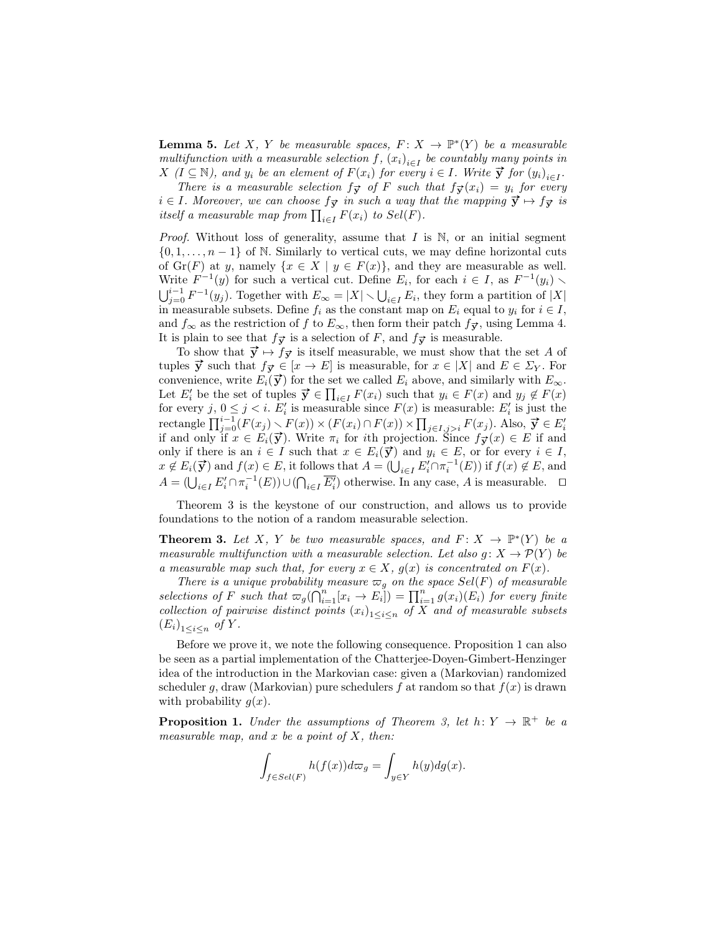**Lemma 5.** Let X, Y be measurable spaces,  $F: X \to \mathbb{P}^*(Y)$  be a measurable multifunction with a measurable selection  $f$ ,  $(x_i)_{i \in I}$  be countably many points in Matterial distribution which is measurable selection  $f$ ,  $(x_i)_{i \in I}$  or countably many points in  $X$   $(I \subseteq \mathbb{N})$ , and  $y_i$  be an element of  $F(x_i)$  for every  $i \in I$ . Write  $\vec{y}$  for  $(y_i)_{i \in I}$ .

There is a measurable selection  $f_{\vec{y}}$  of F such that  $f_{\vec{y}}(x_i) = y_i$  for every  $i \in I$ . Moreover, we can choose  $f_{\vec{y}}$  in such a way that the mapping  $\vec{y} \mapsto f_{\vec{y}}$  is itself a measurable map from  $\prod_{i \in I} F(x_i)$  to  $Sel(F)$ .

*Proof.* Without loss of generality, assume that I is  $\mathbb N$ , or an initial segment  $\{0, 1, \ldots, n-1\}$  of N. Similarly to vertical cuts, we may define horizontal cuts of  $\text{Gr}(F)$  at y, namely  $\{x \in X \mid y \in F(x)\}\$ , and they are measurable as well. Write  $F^{-1}(y)$  for such a vertical cut. Define  $E_i$ , for each  $i \in I$ , as  $F^{-1}(y_i)$  $\bigcup_{j=0}^{i-1} F^{-1}(y_j)$ . Together with  $E_{\infty} = |X| \setminus \bigcup_{i \in I} E_i$ , they form a partition of  $|X|$ in measurable subsets. Define  $f_i$  as the constant map on  $E_i$  equal to  $y_i$  for  $i \in I$ , and  $f_{\infty}$  as the restriction of f to  $E_{\infty}$ , then form their patch  $f_{\vec{y}}$ , using Lemma 4. It is plain to see that  $f_{\vec{v}}$  is a selection of F, and  $f_{\vec{v}}$  is measurable.

To show that  $\vec{y} \mapsto f_{\vec{y}}$  is itself measurable, we must show that the set A of tuples  $\vec{y}$  such that  $f_{\vec{y}} \in [x \to E]$  is measurable, for  $x \in |X|$  and  $E \in \Sigma_Y$ . For convenience, write  $E_i(\vec{y})$  for the set we called  $E_i$  above, and similarly with  $E_{\infty}$ . Let  $E'_i$  be the set of tuples  $\vec{y} \in \prod_{i \in I} F(x_i)$  such that  $y_i \in F(x)$  and  $y_j \notin F(x)$ for every j,  $0 \le j < i$ .  $E'_i$  is measurable since  $F(x)$  is measurable:  $E'_i$  is just the is the correction of  $\prod_{j=0}^{i-1} (F(x_j) \setminus F(x)) \times (F(x_i) \cap F(x)) \times \prod_{j \in I, j>i} F(x_j)$ . Also,  $\vec{y} \in E'_i$  if and only if  $x \in E_i(\vec{y})$ . Write  $\pi_i$  for ith projection. Since  $f_{\vec{y}}(x) \in E$  if and only if there is an  $i \in I$  such that  $x \in E_i(\vec{y})$  and  $y_i \in E$ , or for every  $i \in I$ ,  $x \notin E_i(\vec{y})$  and  $f(x) \in E$ , it follows that  $A = (\bigcup_{i \in I} E'_i \cap \pi_i^{-1}(E))$  if  $f(x) \notin E$ , and  $A = (\bigcup_{i \in I} E'_i \cap \pi_i^{-1}(E)) \cup (\bigcap_{i \in I} \overline{E'_i})$  otherwise. In any case, A is measurable.  $\Box$ 

Theorem 3 is the keystone of our construction, and allows us to provide foundations to the notion of a random measurable selection.

**Theorem 3.** Let X, Y be two measurable spaces, and  $F: X \to \mathbb{P}^*(Y)$  be a measurable multifunction with a measurable selection. Let also  $g: X \to \mathcal{P}(Y)$  be a measurable map such that, for every  $x \in X$ ,  $g(x)$  is concentrated on  $F(x)$ .

There is a unique probability measure  $\varpi_g$  on the space Sel(F) of measurable selections of F such that  $\varpi_g(\bigcap_{i=1}^n [x_i \to E_i]) = \prod_{i=1}^n g(x_i)(E_i)$  for every finite collection of pairwise distinct points  $(x_i)_{1 \leq i \leq n}$  of X and of measurable subsets  $(E_i)_{1 \leq i \leq n}$  of Y.

Before we prove it, we note the following consequence. Proposition 1 can also be seen as a partial implementation of the Chatterjee-Doyen-Gimbert-Henzinger idea of the introduction in the Markovian case: given a (Markovian) randomized scheduler g, draw (Markovian) pure schedulers f at random so that  $f(x)$  is drawn with probability  $g(x)$ .

**Proposition 1.** Under the assumptions of Theorem 3, let  $h: Y \to \mathbb{R}^+$  be a measurable map, and x be a point of  $X$ , then:

$$
\int_{f \in Sel(F)} h(f(x)) d\varpi_g = \int_{y \in Y} h(y) dg(x).
$$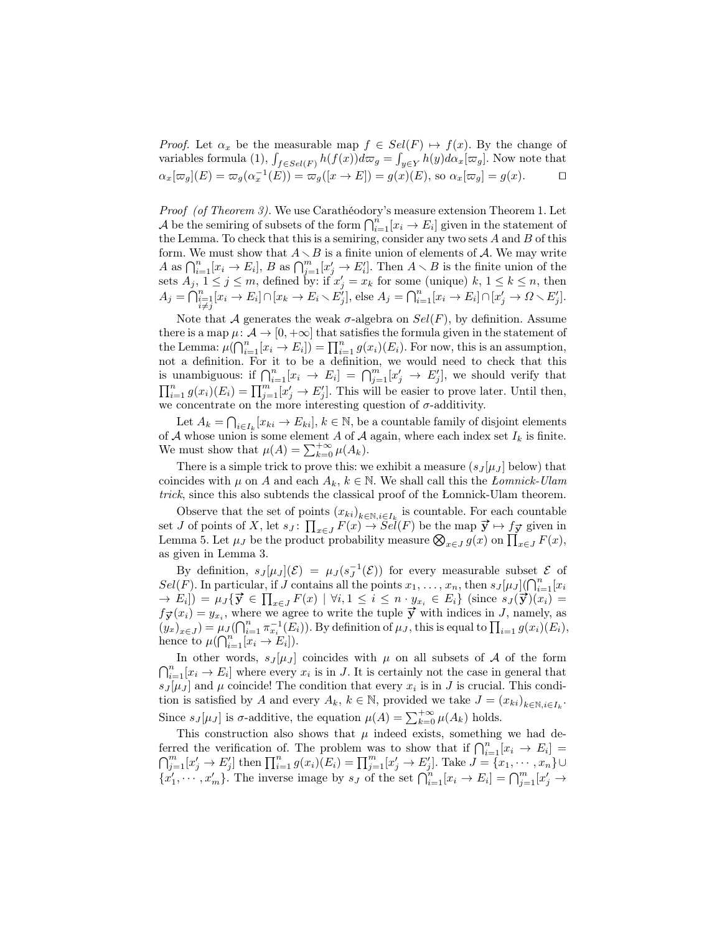*Proof.* Let  $\alpha_x$  be the measurable map  $f \in Sel(F) \rightarrow f(x)$ . By the change of variables formula (1),  $\int_{f \in Sel(F)} h(f(x)) d\varpi_g = \int_{y \in Y} h(y) d\alpha_x [\varpi_g]$ . Now note that  $\alpha_x[\varpi_g](E) = \varpi_g(\alpha_x^{-1}(E)) = \varpi_g([x \to E]) = g(x)(E)$ , so  $\alpha_x[\varpi_g] = g(x)$ .  $\Box$ 

Proof (of Theorem 3). We use Carathéodory's measure extension Theorem 1. Let A be the semiring of subsets of the form  $\bigcap_{i=1}^n [x_i \to E_i]$  given in the statement of the Lemma. To check that this is a semiring, consider any two sets  $A$  and  $B$  of this form. We must show that  $A \setminus B$  is a finite union of elements of A. We may write A as  $\bigcap_{i=1}^n [x_i \to E_i], B$  as  $\bigcap_{j=1}^m [x'_j \to E'_i].$  Then  $A \setminus B$  is the finite union of the sets  $A_j$ ,  $1 \leq j \leq m$ , defined by: if  $x'_j = x_k$  for some (unique)  $k, 1 \leq k \leq n$ , then  $A_j = \bigcap_{\substack{i=1 \ i \neq j}}^n [x_i \to E_i] \cap [x_k \to E_i \setminus E_j^j],$  else  $A_j = \bigcap_{i=1}^n [x_i \to E_i] \cap [x_j^j \to \Omega \setminus E_j^j].$ 

Note that A generates the weak  $\sigma$ -algebra on  $Sel(F)$ , by definition. Assume there is a map  $\mu: \mathcal{A} \to [0, +\infty]$  that satisfies the formula given in the statement of the Lemma:  $\mu(\bigcap_{i=1}^n [x_i \to E_i]) = \prod_{i=1}^n g(x_i)(E_i)$ . For now, this is an assumption, not a definition. For it to be a definition, we would need to check that this is unambiguous: if  $\bigcap_{i=1}^n [x_i \to E_i] = \bigcap_{j=1}^m [x'_j \to E'_j]$ , we should verify that  $\prod_{i=1}^n g(x_i)(E_i) = \prod_{j=1}^m [x'_j \to E'_j]$ . This will be easier to prove later. Until then, we concentrate on the more interesting question of  $\sigma$ -additivity.

Let  $A_k = \bigcap_{i \in I_k} [x_{ki} \to E_{ki}], k \in \mathbb{N}$ , be a countable family of disjoint elements of A whose union is some element A of A again, where each index set  $I_k$  is finite. We must show that  $\mu(A) = \sum_{k=0}^{+\infty} \mu(A_k)$ .

There is a simple trick to prove this: we exhibit a measure  $(s_J[\mu_J]$  below) that coincides with  $\mu$  on A and each  $A_k$ ,  $k \in \mathbb{N}$ . We shall call this the *Lomnick-Ulam* trick, since this also subtends the classical proof of the Łomnick-Ulam theorem.

Observe that the set of points  $(x_{ki})_{k \in \mathbb{N}, i \in I_k}$  is countable. For each countable set J of points of X, let  $s_J: \prod_{x \in J} F(x) \to Sel(F)$  be the map  $\vec{y} \mapsto f_{\vec{y}}$  given in Lemma 5. Let  $\mu_J$  be the product probability measure  $\bigotimes_{x \in J} g(x)$  on  $\prod_{x \in J} F(x)$ , as given in Lemma 3.

By definition,  $s_J[\mu_J](\mathcal{E}) = \mu_J(s_J^{-1}(\mathcal{E}))$  for every measurable subset  $\mathcal E$  of  $Sel(F)$ . In particular, if J contains all the points  $x_1, \ldots, x_n$ , then  $s_J[\mu_J](\bigcap_{i=1}^n [x_i])$  $\forall E_i(Y)$ . In particular, if y contains an the points  $x_1, \ldots, x_n$ , then  $s_J[\mathcal{W}_J] \setminus [i=1] \setminus s_I$ <br>  $\rightarrow E_i]$  =  $\mu_J\{\vec{y} \in \prod_{x \in J} F(x) \mid \forall i, 1 \le i \le n \cdot y_{x_i} \in E_i\}$  (since  $s_J(\vec{y})(x_i) =$  $f_{\vec{y}}(x_i) = y_{x_i}$ , where we agree to write the tuple  $\vec{y}$  with indices in J, namely, as  $(y_x)_{x\in J}$  =  $\mu_J(\bigcap_{i=1}^n \pi_{x_i}^{-1}(E_i))$ . By definition of  $\mu_J$ , this is equal to  $\prod_{i=1}^n g(x_i)(E_i)$ , hence to  $\mu(\bigcap_{i=1}^n [x_i \to E_i]).$ 

In other words,  $s_J[\mu_J]$  coincides with  $\mu$  on all subsets of A of the form  $\bigcap_{i=1}^n [x_i \to E_i]$  where every  $x_i$  is in J. It is certainly not the case in general that  $s_J[\mu_J]$  and  $\mu$  coincide! The condition that every  $x_i$  is in J is crucial. This condition is satisfied by A and every  $A_k$ ,  $k \in \mathbb{N}$ , provided we take  $J = (x_{ki})_{k \in \mathbb{N}, i \in I_k}$ . Since  $s_J[\mu_J]$  is  $\sigma$ -additive, the equation  $\mu(A) = \sum_{k=0}^{+\infty} \mu(A_k)$  holds.

This construction also shows that  $\mu$  indeed exists, something we had deferred the verification of. The problem was to show that if  $\bigcap_{i=1}^n [x_i \to E_i] =$  $\bigcap_{j=1}^m [x'_j \to E'_j]$  then  $\prod_{i=1}^n g(x_i)(E_i) = \prod_{j=1}^m [x'_j \to E'_j]$ . Take  $J = \{x_1, \dots, x_n\}$  ${x'_1,\dots, x'_m}$ . The inverse image by  $s_j$  of the set  $\bigcap_{i=1}^n [x_i \to E_i] = \bigcap_{j=1}^m [x'_j \to E_j]$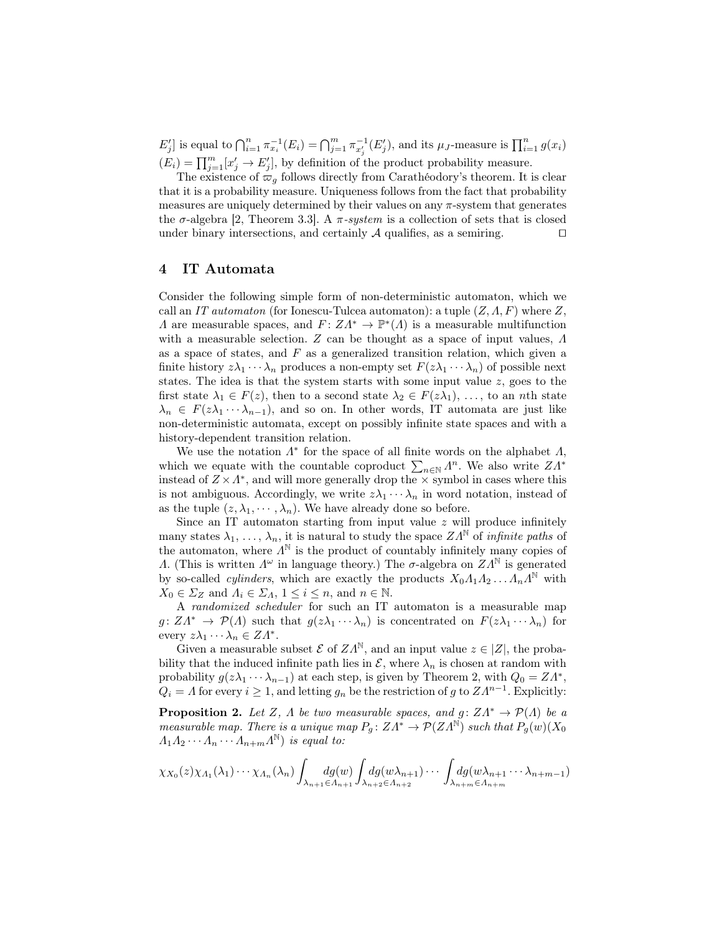$E'_j$  is equal to  $\bigcap_{i=1}^n \pi_{x_i}^{-1}(E_i) = \bigcap_{j=1}^m \pi_{x'_j}^{-1}(E'_j)$ , and its  $\mu_J$ -measure is  $\prod_{i=1}^n g(x_i)$  $(E_i) = \prod_{j=1}^m [x'_j \to E'_j],$  by definition of the product probability measure.

The existence of  $\overline{\omega}_q$  follows directly from Carathéodory's theorem. It is clear that it is a probability measure. Uniqueness follows from the fact that probability measures are uniquely determined by their values on any  $\pi$ -system that generates the  $\sigma$ -algebra [2, Theorem 3.3]. A  $\pi$ -system is a collection of sets that is closed under binary intersections, and certainly  $A$  qualifies, as a semiring.  $\square$ 

## 4 IT Automata

Consider the following simple form of non-deterministic automaton, which we call an IT automaton (for Ionescu-Tulcea automaton): a tuple  $(Z, \Lambda, F)$  where Z, A are measurable spaces, and  $F: Z\Lambda^* \to \mathbb{P}^*(\Lambda)$  is a measurable multifunction with a measurable selection. Z can be thought as a space of input values,  $\Lambda$ as a space of states, and  $F$  as a generalized transition relation, which given a finite history  $z\lambda_1 \cdots \lambda_n$  produces a non-empty set  $F(z\lambda_1 \cdots \lambda_n)$  of possible next states. The idea is that the system starts with some input value z, goes to the first state  $\lambda_1 \in F(z)$ , then to a second state  $\lambda_2 \in F(z\lambda_1), \ldots$ , to an nth state  $\lambda_n \in F(z\lambda_1 \cdots \lambda_{n-1}),$  and so on. In other words, IT automata are just like non-deterministic automata, except on possibly infinite state spaces and with a history-dependent transition relation.

We use the notation  $\Lambda^*$  for the space of all finite words on the alphabet  $\Lambda$ , which we equate with the countable coproduct  $\sum_{n\in\mathbb{N}} \Lambda^n$ . We also write  $ZA^*$ instead of  $Z \times \Lambda^*$ , and will more generally drop the  $\times$  symbol in cases where this is not ambiguous. Accordingly, we write  $z\lambda_1 \cdots \lambda_n$  in word notation, instead of as the tuple  $(z, \lambda_1, \dots, \lambda_n)$ . We have already done so before.

Since an IT automaton starting from input value z will produce infinitely many states  $\lambda_1, \ldots, \lambda_n$ , it is natural to study the space  $ZA^{\mathbb{N}}$  of *infinite paths* of the automaton, where  $\Lambda^{\mathbb{N}}$  is the product of countably infinitely many copies of Λ. (This is written  $Λ^ω$  in language theory.) The σ-algebra on  $ZA^N$  is generated by so-called *cylinders*, which are exactly the products  $X_0A_1A_2 \ldots A_nA^{\mathbb{N}}$  with  $X_0 \in \Sigma_Z$  and  $\Lambda_i \in \Sigma_{\Lambda}$ ,  $1 \leq i \leq n$ , and  $n \in \mathbb{N}$ .

A randomized scheduler for such an IT automaton is a measurable map  $g: Z\Lambda^* \to \mathcal{P}(\Lambda)$  such that  $g(z\lambda_1 \cdots \lambda_n)$  is concentrated on  $F(z\lambda_1 \cdots \lambda_n)$  for every  $z\lambda_1 \cdots \lambda_n \in Z\Lambda^*$ .

Given a measurable subset  $\mathcal E$  of  $ZA^{\mathbb N}$ , and an input value  $z \in |Z|$ , the probability that the induced infinite path lies in  $\mathcal{E}$ , where  $\lambda_n$  is chosen at random with probability  $g(z\lambda_1 \cdots \lambda_{n-1})$  at each step, is given by Theorem 2, with  $Q_0 = Z\Lambda^*$ ,  $Q_i = \Lambda$  for every  $i \geq 1$ , and letting  $g_n$  be the restriction of g to  $Z\Lambda^{n-1}$ . Explicitly:

**Proposition 2.** Let Z,  $\Lambda$  be two measurable spaces, and  $g: Z\Lambda^* \to \mathcal{P}(\Lambda)$  be a measurable map. There is a unique map  $P_q: Z\Lambda^* \to \mathcal{P}(ZA^{\mathbb{N}})$  such that  $P_q(w)(X_0)$  $A_1 A_2 \cdots A_n \cdots A_{n+m} A^{\mathbb{N}}$  is equal to:

$$
\chi_{X_0}(z)\chi_{A_1}(\lambda_1)\cdots\chi_{A_n}(\lambda_n)\int_{\lambda_{n+1}\in A_{n+1}}\!\!\!dg(w)\int_{\lambda_{n+2}\in A_{n+2}}\!\!\!dg(w\lambda_{n+1})\cdots\int_{\lambda_{n+m}\in A_{n+m}}\!\!\!dg(w\lambda_{n+1}\cdots\lambda_{n+m-1})
$$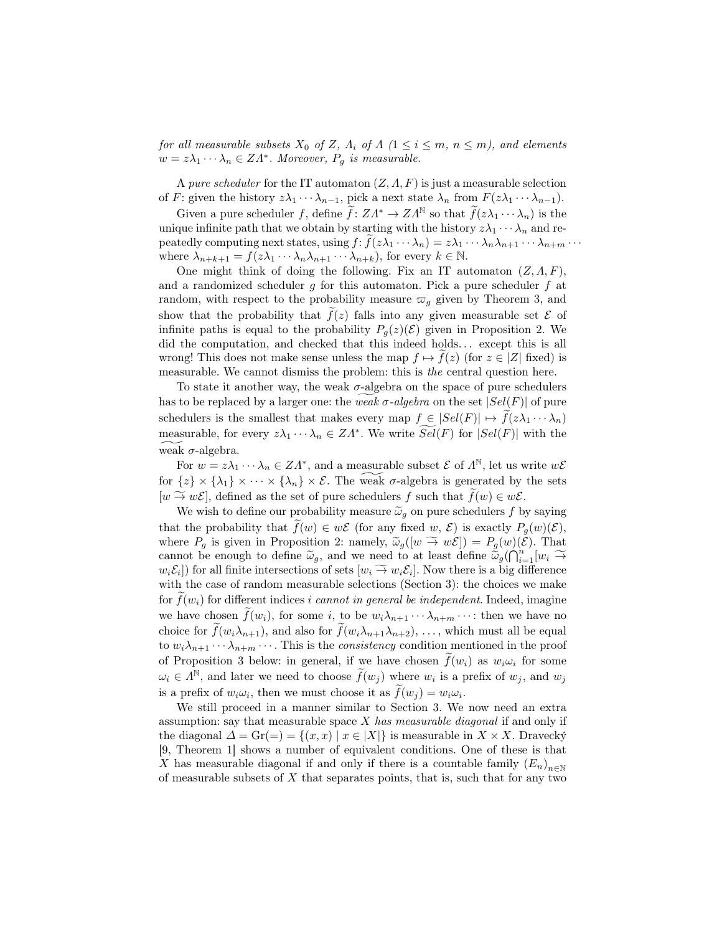for all measurable subsets  $X_0$  of Z,  $\Lambda_i$  of  $\Lambda$  ( $1 \leq i \leq m$ ,  $n \leq m$ ), and elements  $w = z\lambda_1 \cdots \lambda_n \in Z\Lambda^*$ . Moreover,  $P_g$  is measurable.

A pure scheduler for the IT automaton  $(Z, \Lambda, F)$  is just a measurable selection of F: given the history  $z\lambda_1 \cdots \lambda_{n-1}$ , pick a next state  $\lambda_n$  from  $F(z\lambda_1 \cdots \lambda_{n-1})$ .

Given a pure scheduler f, define  $\tilde{f}: Z\Lambda^* \to Z\Lambda^{\mathbb{N}}$  so that  $\tilde{f}(z\lambda_1 \cdots \lambda_n)$  is the unique infinite path that we obtain by starting with the history  $z\lambda_1 \cdots \lambda_n$  and repeatedly computing next states, using  $f: f(z\lambda_1 \cdots \lambda_n) = z\lambda_1 \cdots \lambda_n \lambda_{n+1} \cdots \lambda_{n+m} \cdots$ where  $\lambda_{n+k+1} = f(z\lambda_1 \cdots \lambda_n \lambda_{n+1} \cdots \lambda_{n+k}),$  for every  $k \in \mathbb{N}$ .

One might think of doing the following. Fix an IT automaton  $(Z, \Lambda, F)$ , and a randomized scheduler g for this automaton. Pick a pure scheduler  $f$  at random, with respect to the probability measure  $\varpi_q$  given by Theorem 3, and show that the probability that  $f(z)$  falls into any given measurable set  $\mathcal E$  of infinite paths is equal to the probability  $P_g(z)(\mathcal{E})$  given in Proposition 2. We did the computation, and checked that this indeed holds... except this is all wrong! This does not make sense unless the map  $f \mapsto f(z)$  (for  $z \in |Z|$  fixed) is measurable. We cannot dismiss the problem: this is the central question here.

To state it another way, the weak  $\sigma$ -algebra on the space of pure schedulers has to be replaced by a larger one: the weak  $\sigma$ -algebra on the set  $|Sel(F)|$  of pure schedulers is the smallest that makes every map  $f \in |Sel(F)| \mapsto f(z\lambda_1 \cdots \lambda_n)$ measurable, for every  $z\lambda_1 \cdots \lambda_n \in Z\Lambda^*$ . We write  $\widetilde{Sel}(F)$  for  $|Sel(F)|$  with the weak  $\sigma$ -algebra.

For  $w = z\lambda_1 \cdots \lambda_n \in Z\Lambda^*$ , and a measurable subset  $\mathcal E$  of  $\Lambda^{\mathbb N}$ , let us write  $w\mathcal E$ for  $\{z\} \times \{\lambda_1\} \times \cdots \times \{\lambda_n\} \times \mathcal{E}$ . The weak  $\sigma$ -algebra is generated by the sets  $[w \to \infty \mathcal{E}]$ , defined as the set of pure schedulers f such that  $\tilde{f}(w) \in w\mathcal{E}$ .

We wish to define our probability measure  $\tilde{\omega}_g$  on pure schedulers f by saying that the probability that  $f(w) \in w\mathcal{E}$  (for any fixed w,  $\mathcal{E}$ ) is exactly  $P_g(w)(\mathcal{E}),$ where  $P_g$  is given in Proposition 2: namely,  $\tilde{\omega}_g([w \overset{\sim}{\to} w\mathcal{E}]) = P_g(w)(\mathcal{E})$ . That cannot be enough to define  $\tilde{\omega}_g$ , and we need to at least define  $\tilde{\omega}_g(\hat{\bigcap}_{i=1}^n[w_i \rightarrow w_i \mathcal{E}_i])$  for all finite intersections of sets  $[w_i \rightarrow w_i \mathcal{E}_i]$ . Now there is a big difference  $w_i \mathcal{E}_i$ ) for all finite intersections of sets  $[w_i \stackrel{\sim}{\rightarrow} w_i \mathcal{E}_i]$ . Now there is a big difference<br>with the case of random mossurable selections (Section 3): the choices we make with the case of random measurable selections (Section 3): the choices we make for  $f(w_i)$  for different indices i cannot in general be independent. Indeed, imagine we have chosen  $f(w_i)$ , for some i, to be  $w_i \lambda_{n+1} \cdots \lambda_{n+m} \cdots$ : then we have no choice for  $f(w_i\lambda_{n+1})$ , and also for  $f(w_i\lambda_{n+1}\lambda_{n+2}), \ldots$ , which must all be equal to  $w_i \lambda_{n+1} \cdots \lambda_{n+m} \cdots$ . This is the *consistency* condition mentioned in the proof of Proposition 3 below: in general, if we have chosen  $\tilde{f}(w_i)$  as  $w_i\omega_i$  for some  $\omega_i \in \Lambda^{\mathbb{N}}$ , and later we need to choose  $\widetilde{f}(w_j)$  where  $w_i$  is a prefix of  $w_j$ , and  $w_j$ is a prefix of  $w_i \omega_i$ , then we must choose it as  $f(w_j) = w_i \omega_i$ .

We still proceed in a manner similar to Section 3. We now need an extra assumption: say that measurable space  $X$  has measurable diagonal if and only if the diagonal  $\Delta = \text{Gr}(=) = \{(x, x) \mid x \in |X|\}$  is measurable in  $X \times X$ . Dravecky [9, Theorem 1] shows a number of equivalent conditions. One of these is that X has measurable diagonal if and only if there is a countable family  $(E_n)_{n\in\mathbb{N}}$ of measurable subsets of  $X$  that separates points, that is, such that for any two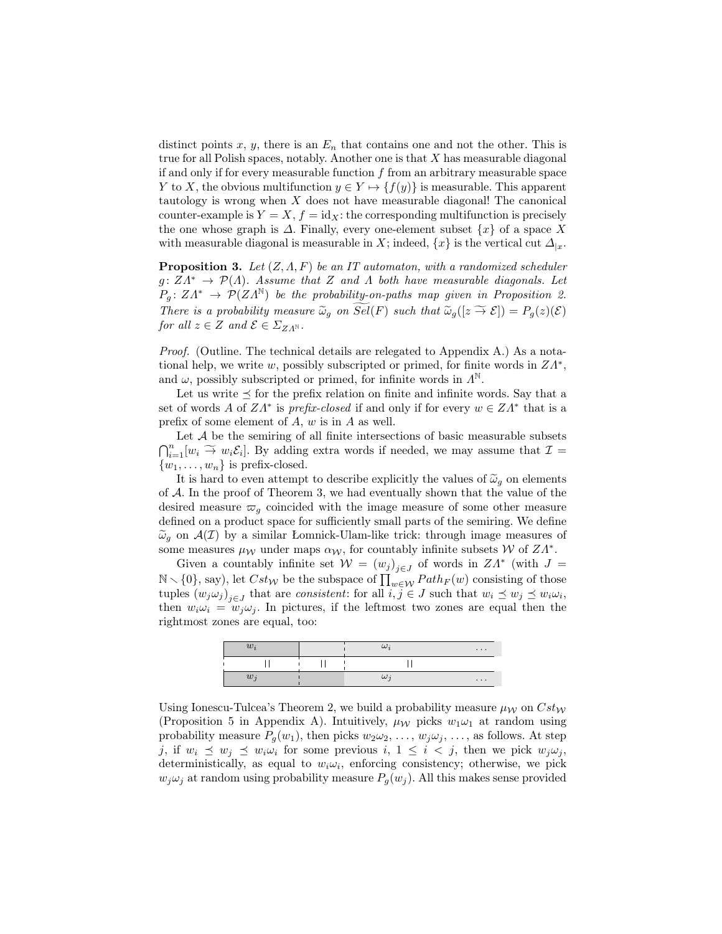distinct points x, y, there is an  $E_n$  that contains one and not the other. This is true for all Polish spaces, notably. Another one is that  $X$  has measurable diagonal if and only if for every measurable function  $f$  from an arbitrary measurable space Y to X, the obvious multifunction  $y \in Y \mapsto \{f(y)\}\$ is measurable. This apparent tautology is wrong when  $X$  does not have measurable diagonal! The canonical counter-example is  $Y = X$ ,  $f = id_X$ : the corresponding multifunction is precisely the one whose graph is  $\Delta$ . Finally, every one-element subset  $\{x\}$  of a space X with measurable diagonal is measurable in X; indeed,  $\{x\}$  is the vertical cut  $\Delta_{|x}$ .

**Proposition 3.** Let  $(Z, \Lambda, F)$  be an IT automaton, with a randomized scheduler  $g: Z\Lambda^* \to \mathcal{P}(\Lambda)$ . Assume that Z and  $\Lambda$  both have measurable diagonals. Let  $P_g: Z\Lambda^* \to \mathcal{P}(ZA^{\mathbb{N}})$  be the probability-on-paths map given in Proposition 2. There is a probability measure  $\widetilde{\omega}_g$  on  $\widetilde{Sel}(F)$  such that  $\widetilde{\omega}_g([z \stackrel{\sim}{\to} \mathcal{E}]) = P_g(z)(\mathcal{E})$ for all  $z \in Z$  and  $\mathcal{E} \in \Sigma_{Z\Lambda^{\mathbb{N}}}$ .

Proof. (Outline. The technical details are relegated to Appendix A.) As a notational help, we write w, possibly subscripted or primed, for finite words in  $ZA^*$ , and  $\omega$ , possibly subscripted or primed, for infinite words in  $\Lambda^{\mathbb{N}}$ .

Let us write  $\leq$  for the prefix relation on finite and infinite words. Say that a set of words A of  $ZA^*$  is prefix-closed if and only if for every  $w \in ZA^*$  that is a prefix of some element of A, w is in A as well.

Let  $A$  be the semiring of all finite intersections of basic measurable subsets  $\bigcap_{i=1}^n [w_i \overset{\sim}{\rightarrow} w_i \mathcal{E}_i].$  By adding extra words if needed, we may assume that  $\mathcal{I} =$  $\{w_1, \ldots, w_n\}$  is prefix-closed.

It is hard to even attempt to describe explicitly the values of  $\tilde{\omega}_g$  on elements of  $A$ . In the proof of Theorem 3, we had eventually shown that the value of the desired measure  $\varpi_g$  coincided with the image measure of some other measure defined on a product space for sufficiently small parts of the semiring. We define  $\tilde{\omega}_g$  on  $\mathcal{A}(\mathcal{I})$  by a similar Lomnick-Ulam-like trick: through image measures of some measures  $\mu_{\mathcal{W}}$  under maps  $\alpha_{\mathcal{W}}$ , for countably infinite subsets W of  $ZA^*$ .

Given a countably infinite set  $W = (w_j)_{j \in J}$  of words in  $ZA^*$  (with  $J =$  $\mathbb{N} \setminus \{0\}$ , say), let  $Cst_W$  be the subspace of  $\prod_{w \in \mathcal{W}} Path_F(w)$  consisting of those tuples  $(w_j \omega_j)_{j \in J}$  that are *consistent*: for all  $i, j \in J$  such that  $w_i \preceq w_j \preceq w_i \omega_i$ , then  $w_i \omega_i = w_j \omega_j$ . In pictures, if the leftmost two zones are equal then the rightmost zones are equal, too:

| $w_i$ | $\omega_i$ | $\cdots$ |
|-------|------------|----------|
|       |            |          |
| $w_j$ | $\omega_i$ | $\cdots$ |

Using Ionescu-Tulcea's Theorem 2, we build a probability measure  $\mu_{\mathcal{W}}$  on  $Cst_{\mathcal{W}}$ (Proposition 5 in Appendix A). Intuitively,  $\mu_{\mathcal{W}}$  picks  $w_1\omega_1$  at random using probability measure  $P_q(w_1)$ , then picks  $w_2\omega_2, \ldots, w_j\omega_j, \ldots$ , as follows. At step j, if  $w_i \preceq w_j \preceq w_i \omega_i$  for some previous  $i, 1 \leq i < j$ , then we pick  $w_j \omega_j$ , deterministically, as equal to  $w_i \omega_i$ , enforcing consistency; otherwise, we pick  $w_j \omega_j$  at random using probability measure  $P_g(w_j)$ . All this makes sense provided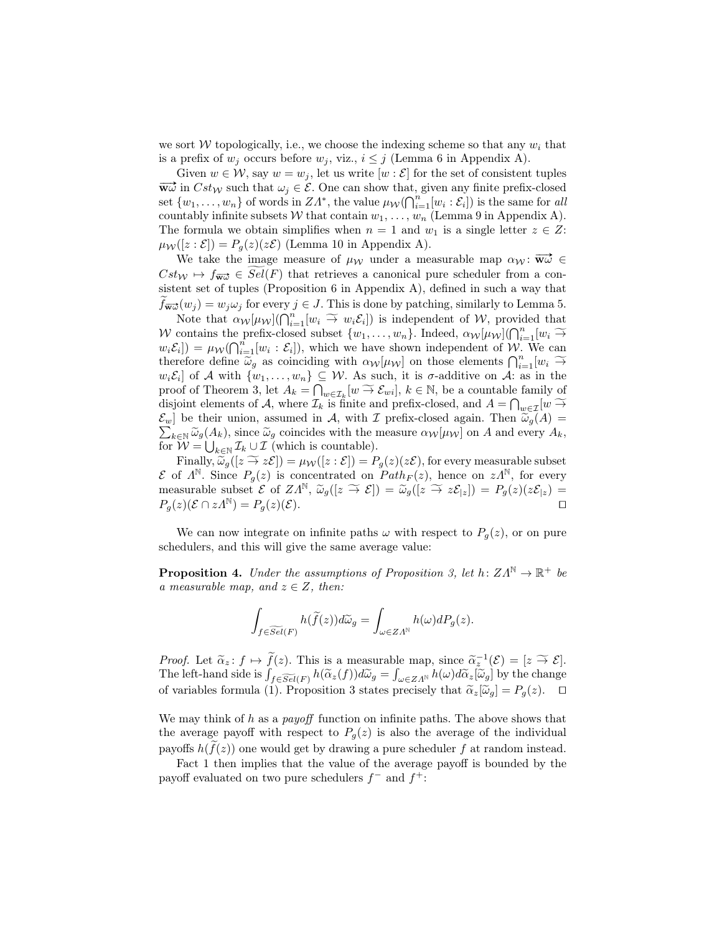we sort W topologically, i.e., we choose the indexing scheme so that any  $w_i$  that is a prefix of  $w_j$  occurs before  $w_j$ , viz.,  $i \leq j$  (Lemma 6 in Appendix A).

Given  $w \in \mathcal{W}$ , say  $w = w_j$ , let us write  $[w : \mathcal{E}]$  for the set of consistent tuples  $\overrightarrow{w\omega}$  in  $Cst_W$  such that  $\omega_j \in \mathcal{E}$ . One can show that, given any finite prefix-closed set  $\{w_1, \ldots, w_n\}$  of words in  $ZA^*$ , the value  $\mu_{\mathcal{W}}(\bigcap_{i=1}^n [w_i : \mathcal{E}_i])$  is the same for all countably infinite subsets W that contain  $w_1, \ldots, w_n$  (Lemma 9 in Appendix A). The formula we obtain simplifies when  $n = 1$  and  $w_1$  is a single letter  $z \in Z$ :  $\mu_{\mathcal{W}}([z:\mathcal{E}]) = P_q(z)(z\mathcal{E})$  (Lemma 10 in Appendix A).

We take the image measure of  $\mu_{\mathcal{W}}$  under a measurable map  $\alpha_{\mathcal{W}}: \overrightarrow{\mathbf{w}\omega} \in$  $Cst_W \mapsto f_{\overrightarrow{wa}} \in Sel(F)$  that retrieves a canonical pure scheduler from a consistent set of tuples (Proposition 6 in Appendix A), defined in such a way that  $f_{\overrightarrow{wu}}(w_i) = w_i \omega_i$  for every  $j \in J$ . This is done by patching, similarly to Lemma 5.

Note that  $\alpha_{\mathcal{W}}[\mu_{\mathcal{W}}](\bigcap_{i=1}^n [w_i \widetilde{\rightarrow} w_i \mathcal{E}_i])$  is independent of W, provided that W contains the prefix-closed subset  $\{w_1, \ldots, w_n\}$ . Indeed,  $\alpha_{\mathcal{W}}[\mu_{\mathcal{W}}](\bigcap_{i=1}^n [w_i \widetilde{\rightarrow} w_i \mathcal{F}_i]) = \mu_{\mathcal{W}}(\bigcap_{i=1}^n [w_i \widetilde{\rightarrow} w_i \mathcal{F}_i])$  which we have shown independent of  $\mathcal{W}_{\mathcal{W}}(X)$  $w_i \mathcal{E}_i$ ]) =  $\mu_{\mathcal{W}}(\bigcap_{i=1}^n [w_i : \mathcal{E}_i])$ , which we have shown independent of W. We can therefore define  $\widetilde{\omega}_g$  as coinciding with  $\alpha_W[\mu_W]$  on those elements  $\bigcap_{i=1}^n [w_i \widetilde{\rightarrow} \mu_k \xi_i]$  of A with  $\{\omega_k, \omega_k\} \subset \mathcal{W}$ . As such it is a additive on A; as in the  $w_i\mathcal{E}_i$  of A with  $\{w_1,\ldots,w_n\} \subseteq \mathcal{W}$ . As such, it is  $\sigma$ -additive on A: as in the proof of Theorem 3, let  $A_k = \bigcap_{w \in \mathcal{I}_k} [w \to \mathcal{E}_{wi}]$ ,  $k \in \mathbb{N}$ , be a countable family of disjoint elements of  $A$ , where  $\mathcal{I}_v$  is finite and profix elected and  $A = \bigcap_{w \in \mathcal{I}_v} [w \to \mathcal{E}_{w}]$ disjoint elements of A, where  $\mathcal{I}_k$  is finite and prefix-closed, and  $A = \bigcap_{w \in \mathcal{I}} [w \stackrel{\sim}{\rightarrow} S]$ .  $\sum_{k \in \mathbb{N}} \widetilde{\omega}_g(A_k)$ , since  $\widetilde{\omega}_g$  coincides with the measure  $\alpha_{\mathcal{W}}[\mu_{\mathcal{W}}]$  on A and every  $A_k$ ,  $\mathcal{E}_w$ ] be their union, assumed in A, with I prefix-closed again. Then  $\tilde{\omega}_g(A)$  = for  $W = \bigcup_{k \in \mathbb{N}} \mathcal{I}_k \cup \mathcal{I}$  (which is countable).

Finally,  $\widetilde{\omega}_g([z \stackrel{\sim}{\to} z\mathcal{E}]) = \mu_{\mathcal{W}}([z:\mathcal{E}]) = P_g(z)(z\mathcal{E})$ , for every measurable subset  $\mathcal E$  of  $\Lambda^{\mathbb N}$ . Since  $P_g(z)$  is concentrated on  $Path_F(z)$ , hence on  $z\Lambda^{\mathbb N}$ , for every measurable subset  $\mathcal{E}$  of  $ZA^{\mathbb{N}}, \widetilde{\omega}_g([z \overset{\sim}{\to} \mathcal{E}]) = \widetilde{\omega}_g([z \overset{\sim}{\to} z\mathcal{E}_{|z}]) = P_g(z)(z\mathcal{E}_{|z}) =$ <br> $P_g(z)(\mathcal{E} \cap zA^{\mathbb{N}}) = P_g(z)(\mathcal{E}).$  $P_q(z)(\mathcal{E} \cap zA^{\mathbb{N}}) = P_q(z)(\mathcal{E}).$ 

We can now integrate on infinite paths  $\omega$  with respect to  $P_q(z)$ , or on pure schedulers, and this will give the same average value:

**Proposition 4.** Under the assumptions of Proposition 3, let  $h: Z\Lambda^{\mathbb{N}} \to \mathbb{R}^+$  be a measurable map, and  $z \in Z$ , then:

$$
\int_{f \in \widetilde{Sel}(F)} h(\widetilde{f}(z)) d\widetilde{\omega}_g = \int_{\omega \in Z\Lambda^{\mathbb{N}}} h(\omega) dP_g(z).
$$

Proof. Let  $\tilde{\alpha}_z : f \mapsto \tilde{f}(z)$ . This is a measurable map, since  $\tilde{\alpha}_z^{-1}(\mathcal{E}) = [z \stackrel{\sim}{\rightarrow} \mathcal{E}]$ .<br>The left hand side is  $\int_{z_0}^z (-z) dz \leq \int_{z_0}^z (-z) dz \leq \int_{z_0}^z (-z) dz$ . The left-hand side is  $\int_{f \in \widetilde{Sel}(F)} h(\widetilde{\alpha}_z(f)) d\widetilde{\omega}_g = \int_{\omega \in Z\Lambda^{\mathbb{N}}} h(\omega) d\widetilde{\alpha}_z[\widetilde{\omega}_g]$  by the change of variables formula (1). Proposition 3 states precisely that  $\tilde{\alpha}_z[\tilde{\omega}_g] = P_g(z)$ .  $\Box$ 

We may think of h as a *payoff* function on infinite paths. The above shows that the average payoff with respect to  $P<sub>g</sub>(z)$  is also the average of the individual payoffs  $h(f(z))$  one would get by drawing a pure scheduler f at random instead.

Fact 1 then implies that the value of the average payoff is bounded by the payoff evaluated on two pure schedulers  $f^-$  and  $f^+$ :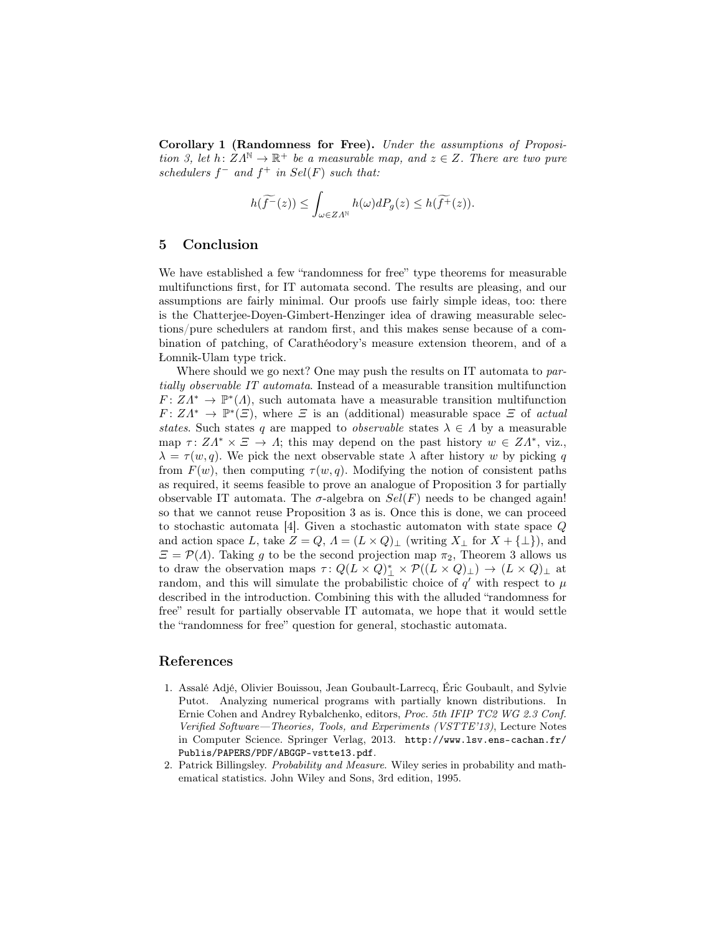Corollary 1 (Randomness for Free). Under the assumptions of Proposition 3, let  $h: Z\Lambda^{\mathbb{N}} \to \mathbb{R}^+$  be a measurable map, and  $z \in Z$ . There are two pure schedulers  $f^-$  and  $f^+$  in  $Sel(F)$  such that:

$$
h(\widetilde{f^-}(z))\leq \int_{\omega\in Z\varLambda^{\mathbb{N}}}h(\omega)dP_g(z)\leq h(\widetilde{f^+}(z)).
$$

### 5 Conclusion

We have established a few "randomness for free" type theorems for measurable multifunctions first, for IT automata second. The results are pleasing, and our assumptions are fairly minimal. Our proofs use fairly simple ideas, too: there is the Chatterjee-Doyen-Gimbert-Henzinger idea of drawing measurable selections/pure schedulers at random first, and this makes sense because of a combination of patching, of Carathéodory's measure extension theorem, and of a Łomnik-Ulam type trick.

Where should we go next? One may push the results on IT automata to partially observable IT automata. Instead of a measurable transition multifunction  $F: Z\Lambda^* \to \mathbb{P}^*(\Lambda)$ , such automata have a measurable transition multifunction  $F: Z\Lambda^* \to \mathbb{P}^*(\Xi)$ , where  $\Xi$  is an (additional) measurable space  $\Xi$  of actual states. Such states q are mapped to *observable* states  $\lambda \in \Lambda$  by a measurable map  $\tau: Z\Lambda^* \times \Xi \to \Lambda$ ; this may depend on the past history  $w \in Z\Lambda^*$ , viz.,  $\lambda = \tau(w, q)$ . We pick the next observable state  $\lambda$  after history w by picking q from  $F(w)$ , then computing  $\tau(w,q)$ . Modifying the notion of consistent paths as required, it seems feasible to prove an analogue of Proposition 3 for partially observable IT automata. The  $\sigma$ -algebra on  $Sel(F)$  needs to be changed again! so that we cannot reuse Proposition 3 as is. Once this is done, we can proceed to stochastic automata [4]. Given a stochastic automaton with state space Q and action space L, take  $Z = Q$ ,  $\Lambda = (L \times Q)_{\perp}$  (writing  $X_{\perp}$  for  $X + {\perp}$ ), and  $\mathcal{E} = \mathcal{P}(\Lambda)$ . Taking g to be the second projection map  $\pi_2$ , Theorem 3 allows us to draw the observation maps  $\tau: Q(L \times Q)^*_{\perp} \times \mathcal{P}((L \times Q)_{\perp}) \to (L \times Q)_{\perp}$  at random, and this will simulate the probabilistic choice of  $q'$  with respect to  $\mu$ described in the introduction. Combining this with the alluded "randomness for free" result for partially observable IT automata, we hope that it would settle the "randomness for free" question for general, stochastic automata.

## References

- 1. Assalé Adjé, Olivier Bouissou, Jean Goubault-Larrecq, Éric Goubault, and Sylvie Putot. Analyzing numerical programs with partially known distributions. In Ernie Cohen and Andrey Rybalchenko, editors, Proc. 5th IFIP TC2 WG 2.3 Conf. Verified Software—Theories, Tools, and Experiments (VSTTE'13), Lecture Notes in Computer Science. Springer Verlag, 2013. http://www.lsv.ens-cachan.fr/ Publis/PAPERS/PDF/ABGGP-vstte13.pdf.
- 2. Patrick Billingsley. Probability and Measure. Wiley series in probability and mathematical statistics. John Wiley and Sons, 3rd edition, 1995.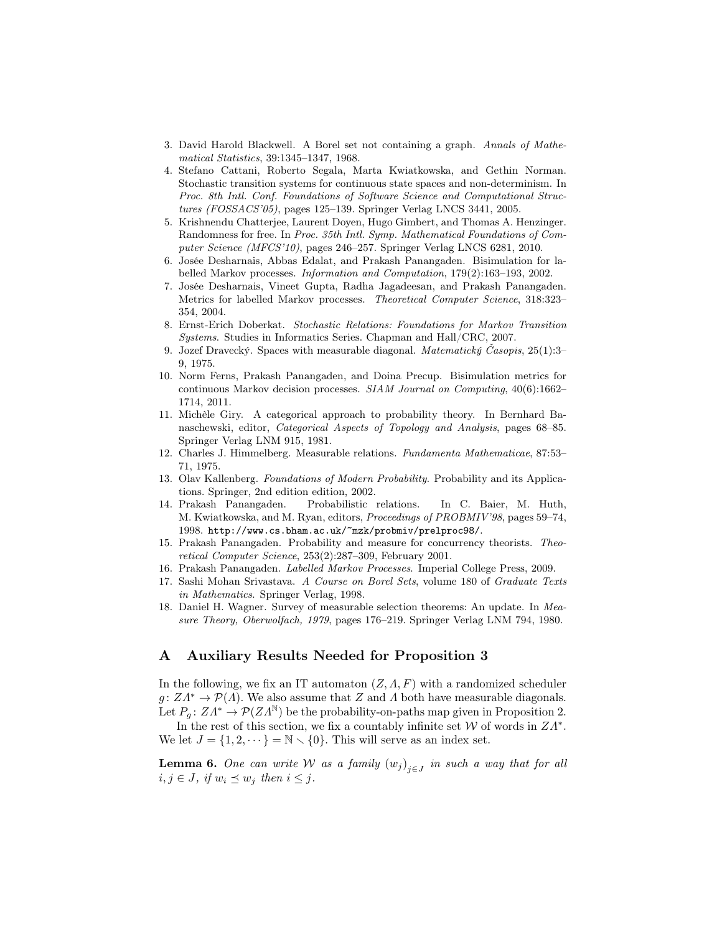- 3. David Harold Blackwell. A Borel set not containing a graph. Annals of Mathematical Statistics, 39:1345–1347, 1968.
- 4. Stefano Cattani, Roberto Segala, Marta Kwiatkowska, and Gethin Norman. Stochastic transition systems for continuous state spaces and non-determinism. In Proc. 8th Intl. Conf. Foundations of Software Science and Computational Structures (FOSSACS'05), pages 125–139. Springer Verlag LNCS 3441, 2005.
- 5. Krishnendu Chatterjee, Laurent Doyen, Hugo Gimbert, and Thomas A. Henzinger. Randomness for free. In Proc. 35th Intl. Symp. Mathematical Foundations of Computer Science (MFCS'10), pages 246–257. Springer Verlag LNCS 6281, 2010.
- 6. Josée Desharnais, Abbas Edalat, and Prakash Panangaden. Bisimulation for labelled Markov processes. Information and Computation, 179(2):163–193, 2002.
- 7. Josée Desharnais, Vineet Gupta, Radha Jagadeesan, and Prakash Panangaden. Metrics for labelled Markov processes. Theoretical Computer Science, 318:323– 354, 2004.
- 8. Ernst-Erich Doberkat. Stochastic Relations: Foundations for Markov Transition Systems. Studies in Informatics Series. Chapman and Hall/CRC, 2007.
- 9. Jozef Dravecký. Spaces with measurable diagonal. Matematický Časopis, 25(1):3– 9, 1975.
- 10. Norm Ferns, Prakash Panangaden, and Doina Precup. Bisimulation metrics for continuous Markov decision processes. SIAM Journal on Computing, 40(6):1662– 1714, 2011.
- 11. Michèle Giry. A categorical approach to probability theory. In Bernhard Banaschewski, editor, Categorical Aspects of Topology and Analysis, pages 68–85. Springer Verlag LNM 915, 1981.
- 12. Charles J. Himmelberg. Measurable relations. Fundamenta Mathematicae, 87:53– 71, 1975.
- 13. Olav Kallenberg. Foundations of Modern Probability. Probability and its Applications. Springer, 2nd edition edition, 2002.
- 14. Prakash Panangaden. Probabilistic relations. In C. Baier, M. Huth, M. Kwiatkowska, and M. Ryan, editors, Proceedings of PROBMIV'98, pages 59–74, 1998. http://www.cs.bham.ac.uk/~mzk/probmiv/prelproc98/.
- 15. Prakash Panangaden. Probability and measure for concurrency theorists. Theoretical Computer Science, 253(2):287–309, February 2001.
- 16. Prakash Panangaden. Labelled Markov Processes. Imperial College Press, 2009.
- 17. Sashi Mohan Srivastava. A Course on Borel Sets, volume 180 of Graduate Texts in Mathematics. Springer Verlag, 1998.
- 18. Daniel H. Wagner. Survey of measurable selection theorems: An update. In Measure Theory, Oberwolfach, 1979, pages 176–219. Springer Verlag LNM 794, 1980.

# A Auxiliary Results Needed for Proposition 3

In the following, we fix an IT automaton  $(Z, \Lambda, F)$  with a randomized scheduler  $g: Z\Lambda^* \to \mathcal{P}(\Lambda)$ . We also assume that Z and  $\Lambda$  both have measurable diagonals. Let  $P_{\alpha} \colon Z\Lambda^{*} \to \mathcal{P}(ZA^{\mathbb{N}})$  be the probability-on-paths map given in Proposition 2.

In the rest of this section, we fix a countably infinite set  $W$  of words in  $ZA^*$ . We let  $J = \{1, 2, \dots\} = \mathbb{N} \setminus \{0\}$ . This will serve as an index set.

**Lemma 6.** One can write W as a family  $(w_j)_{j \in J}$  in such a way that for all  $i, j \in J$ , if  $w_i \preceq w_j$  then  $i \leq j$ .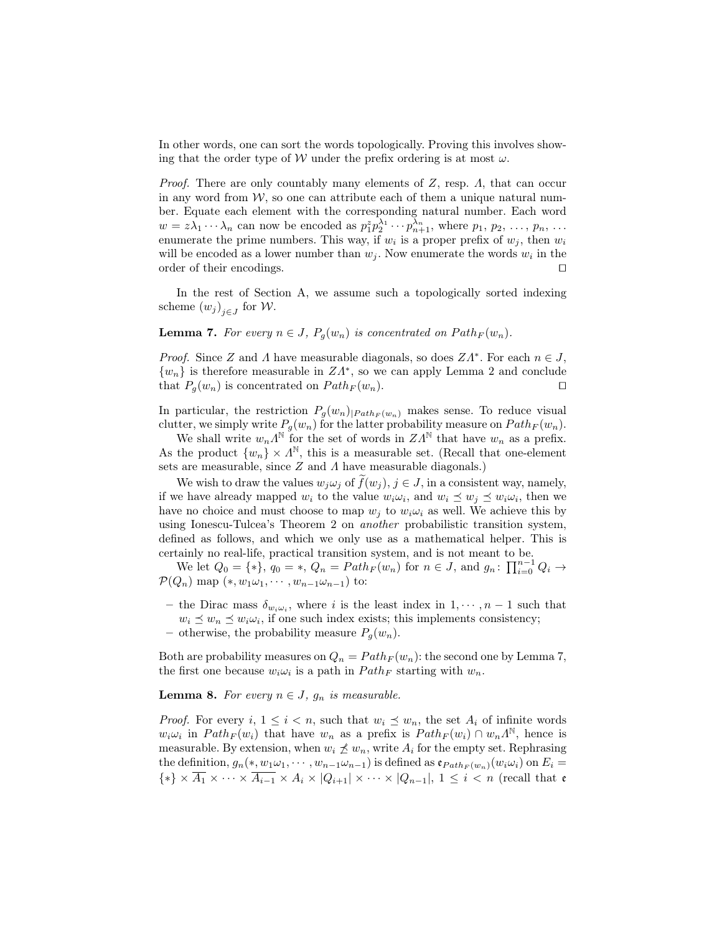In other words, one can sort the words topologically. Proving this involves showing that the order type of W under the prefix ordering is at most  $\omega$ .

*Proof.* There are only countably many elements of  $Z$ , resp.  $\Lambda$ , that can occur in any word from  $W$ , so one can attribute each of them a unique natural number. Equate each element with the corresponding natural number. Each word  $w = z\lambda_1 \cdots \lambda_n$  can now be encoded as  $p_1^z p_2^{\lambda_1} \cdots p_{n+1}^{\lambda_n}$ , where  $p_1, p_2, \ldots, p_n, \ldots$ enumerate the prime numbers. This way, if  $w_i$  is a proper prefix of  $w_j$ , then  $w_i$ will be encoded as a lower number than  $w_j$ . Now enumerate the words  $w_i$  in the order of their encodings.  $\Box$ 

In the rest of Section A, we assume such a topologically sorted indexing scheme  $(w_j)_{j \in J}$  for W.

**Lemma 7.** For every  $n \in J$ ,  $P_g(w_n)$  is concentrated on  $Path_F(w_n)$ .

*Proof.* Since Z and  $\Lambda$  have measurable diagonals, so does  $ZA^*$ . For each  $n \in J$ ,  $\{w_n\}$  is therefore measurable in  $ZA^*$ , so we can apply Lemma 2 and conclude that  $P_q(w_n)$  is concentrated on  $Path_F(w_n)$ .

In particular, the restriction  $P_g(w_n)|_{Path_F(w_n)}$  makes sense. To reduce visual clutter, we simply write  $P_g(w_n)$  for the latter probability measure on  $Path_F(w_n)$ .

We shall write  $w_n \Lambda^{\mathbb{N}}$  for the set of words in  $ZA^{\mathbb{N}}$  that have  $w_n$  as a prefix. As the product  $\{w_n\} \times \Lambda^{\mathbb{N}}$ , this is a measurable set. (Recall that one-element sets are measurable, since  $Z$  and  $\Lambda$  have measurable diagonals.)

We wish to draw the values  $w_j \omega_j$  of  $\tilde{f}(w_j)$ ,  $j \in J$ , in a consistent way, namely, if we have already mapped  $w_i$  to the value  $w_i \omega_i$ , and  $w_i \preceq w_j \preceq w_i \omega_i$ , then we have no choice and must choose to map  $w_j$  to  $w_i \omega_i$  as well. We achieve this by using Ionescu-Tulcea's Theorem 2 on another probabilistic transition system, defined as follows, and which we only use as a mathematical helper. This is certainly no real-life, practical transition system, and is not meant to be.

We let  $Q_0 = \{*\}, q_0 = *, Q_n = Path_F(w_n)$  for  $n \in J$ , and  $g_n: \prod_{i=0}^{n-1} Q_i \to$  $\mathcal{P}(Q_n)$  map  $(*, w_1\omega_1, \cdots, w_{n-1}\omega_{n-1})$  to:

- the Dirac mass  $\delta_{w_i\omega_i}$ , where i is the least index in  $1, \dots, n-1$  such that  $w_i \preceq w_n \preceq w_i \omega_i$ , if one such index exists; this implements consistency;
- otherwise, the probability measure  $P_g(w_n)$ .

Both are probability measures on  $Q_n = Path_F(w_n)$ : the second one by Lemma 7, the first one because  $w_i \omega_i$  is a path in  $Path_F$  starting with  $w_n$ .

**Lemma 8.** For every  $n \in J$ ,  $q_n$  is measurable.

*Proof.* For every i,  $1 \leq i \leq n$ , such that  $w_i \leq w_n$ , the set  $A_i$  of infinite words  $w_i \omega_i$  in  $Path_F(w_i)$  that have  $w_n$  as a prefix is  $Path_F(w_i) \cap w_n \Lambda^{\mathbb{N}}$ , hence is measurable. By extension, when  $w_i \npreceq w_n$ , write  $A_i$  for the empty set. Rephrasing the definition,  $g_n(*, w_1\omega_1, \dots, w_{n-1}\omega_{n-1})$  is defined as  ${\mathfrak e}_{Path_F(w_n)}(w_i\omega_i)$  on  $E_i$  $\{*\}\times\overline{A_1}\times\cdots\times\overline{A_{i-1}}\times A_i\times|Q_{i+1}|\times\cdots\times|Q_{n-1}|, 1\leq i\leq n$  (recall that e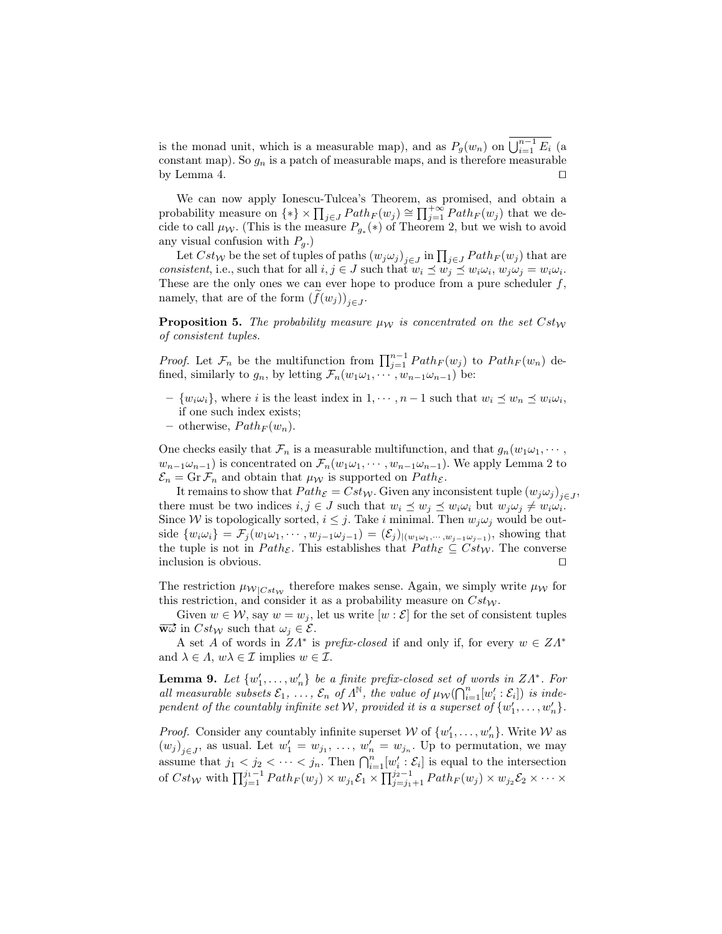is the monad unit, which is a measurable map), and as  $P_g(w_n)$  on  $\bigcup_{i=1}^{n-1} E_i$  (a constant map). So  $g_n$  is a patch of measurable maps, and is therefore measurable by Lemma 4.  $\Box$ 

We can now apply Ionescu-Tulcea's Theorem, as promised, and obtain a probability measure on  $\{*\}\times \prod_{j\in J}Path_F(w_j) \cong \prod_{j=1}^{+\infty} Path_F(w_j)$  that we decide to call  $\mu_{\mathcal{W}}$ . (This is the measure  $P_{g_*}(*)$  of Theorem 2, but we wish to avoid any visual confusion with  $P_q$ .)

Let  $Cst_W$  be the set of tuples of paths  $(w_j\omega_j)_{j\in J}$  in  $\prod_{j\in J}Path_F(w_j)$  that are consistent, i.e., such that for all  $i, j \in J$  such that  $w_i \preceq w_j \preceq w_i \omega_i$ ,  $w_j \omega_j = w_i \omega_i$ . These are the only ones we can ever hope to produce from a pure scheduler  $f$ , namely, that are of the form  $(f(w_j))_{j\in J}$ .

**Proposition 5.** The probability measure  $\mu_{\mathcal{W}}$  is concentrated on the set  $Cst_W$ of consistent tuples.

*Proof.* Let  $\mathcal{F}_n$  be the multifunction from  $\prod_{j=1}^{n-1} Path_F(w_j)$  to  $Path_F(w_n)$  defined, similarly to  $g_n$ , by letting  $\mathcal{F}_n(w_1\omega_1, \dots, w_{n-1}\omega_{n-1})$  be:

- $\{w_i\omega_i\}$ , where i is the least index in  $1, \dots, n-1$  such that  $w_i \preceq w_n \preceq w_i\omega_i$ , if one such index exists;
- otherwise,  $Path_F (w_n)$ .

One checks easily that  $\mathcal{F}_n$  is a measurable multifunction, and that  $g_n(w_1w_1, \dots,$  $w_{n-1}\omega_{n-1}$ ) is concentrated on  $\mathcal{F}_n(w_1\omega_1, \cdots, w_{n-1}\omega_{n-1})$ . We apply Lemma 2 to  $\mathcal{E}_n = \mathrm{Gr}\,\mathcal{F}_n$  and obtain that  $\mu_{\mathcal{W}}$  is supported on  $Path_{\mathcal{E}}$ .

It remains to show that  $Path_{\mathcal{E}} = Cst_{\mathcal{W}}$ . Given any inconsistent tuple  $(w_j \omega_j)_{j \in J}$ , there must be two indices  $i, j \in J$  such that  $w_i \preceq w_j \preceq w_i \omega_i$  but  $w_j \omega_j \neq w_i \omega_i$ . Since W is topologically sorted,  $i \leq j$ . Take i minimal. Then  $w_j \omega_j$  would be outside  $\{w_i\omega_i\} = \mathcal{F}_j(w_1\omega_1, \cdots, w_{j-1}\omega_{j-1}) = (\mathcal{E}_j)_{|(w_1\omega_1, \cdots, w_{j-1}\omega_{j-1})}$ , showing that the tuple is not in  $Path_{\mathcal{E}}$ . This establishes that  $Path_{\mathcal{E}} \subseteq Cst_W$ . The converse inclusion is obvious.  $\Box$ 

The restriction  $\mu_{W|Cst_W}$  therefore makes sense. Again, we simply write  $\mu_W$  for this restriction, and consider it as a probability measure on  $Cst_W$ .

Given  $w \in \mathcal{W}$ , say  $w = w_j$ , let us write  $[w : \mathcal{E}]$  for the set of consistent tuples  $\overrightarrow{w\omega}$  in  $Cst_W$  such that  $\omega_j \in \mathcal{E}$ .

A set A of words in  $ZA^*$  is prefix-closed if and only if, for every  $w \in Z\Lambda^*$ and  $\lambda \in \Lambda$ ,  $w\lambda \in \mathcal{I}$  implies  $w \in \mathcal{I}$ .

**Lemma 9.** Let  $\{w'_1, \ldots, w'_n\}$  be a finite prefix-closed set of words in  $ZA^*$ . For all measurable subsets  $\mathcal{E}_1, \ldots, \mathcal{E}_n$  of  $\Lambda^{\mathbb{N}}$ , the value of  $\mu_{\mathcal{W}}(\bigcap_{i=1}^n [w'_i : \mathcal{E}_i])$  is independent of the countably infinite set W, provided it is a superset of  $\{w_1', \ldots, w_n'\}$ .

*Proof.* Consider any countably infinite superset  $W$  of  $\{w'_1, \ldots, w'_n\}$ . Write  $W$  as  $(w_j)_{j\in J}$ , as usual. Let  $w'_1 = w_{j_1}, \ldots, w'_n = w_{j_n}$ . Up to permutation, we may assume that  $j_1 < j_2 < \cdots < j_n$ . Then  $\bigcap_{i=1}^n [w'_i : \mathcal{E}_i]$  is equal to the intersection of  $Cst_W$  with  $\prod_{j=1}^{j_1-1} Path_F(w_j) \times w_{j_1} \mathcal{E}_1 \times \prod_{j=j_1+1}^{j_2-1} Path_F(w_j) \times w_{j_2} \mathcal{E}_2 \times \cdots \times$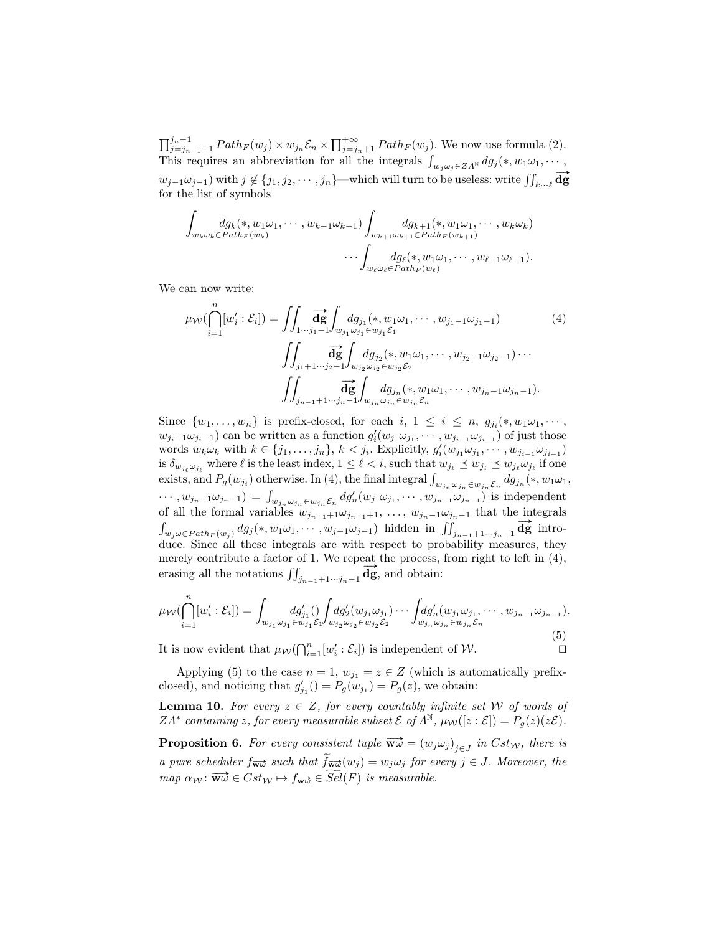$\prod_{j=j_{n-1}+1}^{j_n-1} Path_F(w_j) \times w_{j_n} \mathcal{E}_n \times \prod_{j=j_n+1}^{+\infty} Path_F(w_j)$ . We now use formula (2). This requires an abbreviation for all the integrals  $\int_{w_j \omega_j \in Z\Lambda^{\mathbb{N}}} dg_j(*, w_1\omega_1, \cdots,$  $w_{j-1}\omega_{j-1}$ ) with  $j \notin \{j_1, j_2, \cdots, j_n\}$ —which will turn to be useless: write  $\iint_{k \cdots \ell} d\vec{g}$ for the list of symbols

$$
\int_{w_k \omega_k \in Path_F(w_k)} dg_k(*, w_1 \omega_1, \cdots, w_{k-1} \omega_{k-1}) \int_{w_{k+1} \omega_{k+1} \in Path_F(w_{k+1})} dg_{k+1}(*, w_1 \omega_1, \cdots, w_k \omega_k) \cdots \int_{w_\ell \omega_\ell \in Path_F(w_\ell)} dg_\ell(*, w_1 \omega_1, \cdots, w_{\ell-1} \omega_{\ell-1}).
$$

We can now write:

$$
\mu_{\mathcal{W}}(\bigcap_{i=1}^{n}[w'_{i}:\mathcal{E}_{i}]) = \iint \frac{\overrightarrow{\mathrm{dg}} \int_{w_{j_{1}}} dg_{j_{1}}(*, w_{1} \omega_{1}, \cdots, w_{j_{1}-1} \omega_{j_{1}-1})}{\int \int_{j_{1}+1 \cdots j_{2}-1} \overrightarrow{\mathrm{dg}} \int_{w_{j_{2}}} dg_{j_{2}}(*, w_{1} \omega_{1}, \cdots, w_{j_{2}-1} \omega_{j_{2}-1}) \cdots} \cdot \int \int_{j_{n-1}+1 \cdots j_{n}-1} \overrightarrow{\mathrm{dg}} \int_{w_{j_{2}}} dg_{j_{2}}(*, w_{1} \omega_{1}, \cdots, w_{j_{n}-1} \omega_{j_{n}-1}).
$$
\n(4)

Since  $\{w_1, \ldots, w_n\}$  is prefix-closed, for each  $i, 1 \leq i \leq n, g_{j_i}(*, w_1 \omega_1, \cdots, w_n\}$  $w_{j_i-1}\omega_{j_i-1}$  can be written as a function  $g'_i(w_{j_1}\omega_{j_1}, \cdots, w_{j_{i-1}}\omega_{j_{i-1}})$  of just those words  $w_k \omega_k$  with  $k \in \{j_1, \ldots, j_n\}, k < j_i$ . Explicitly,  $g'_i(w_{j_1} \omega_{j_1}, \cdots, w_{j_{i-1}} \omega_{j_{i-1}})$ is  $\delta_{w_{j_\ell}, \omega_{j_\ell}}$  where  $\ell$  is the least index,  $1 \leq \ell < i$ , such that  $w_{j_\ell} \preceq w_{j_i} \preceq w_{j_\ell}, \omega_{j_\ell}$  if one exists, and  $P_g(w_{j_i})$  otherwise. In (4), the final integral  $\int_{w_{j_n}\omega_{j_n}\in w_{j_n}}\mathcal{E}_n dg_{j_n}(*, w_1\omega_1,$  $\cdots$ ,  $w_{j_n-1}\omega_{j_n-1} = \int_{w_{j_n}} \omega_{j_n} \epsilon_{w_{j_n}} \epsilon_n dg'_n(w_{j_1}\omega_{j_1}, \cdots, w_{j_{n-1}}\omega_{j_{n-1}})$  is independent of all the formal variables  $w_{j_{n-1}+1}\omega_{j_{n-1}+1}, \ldots, w_{j_n-1}\omega_{j_n-1}$  that the integrals or an the formal variables  $w_{j_{n-1}+1}w_{j_{n-1}+1} \ldots$ ,  $w_{j_n-1}w_{j_n-1}$  that the integrals  $\int_{w_j\omega\in Path_F(w_j)} dg_j(*, w_1\omega_1, \cdots, w_{j-1}\omega_{j-1})$  hidden in  $\iint_{j_{n-1}+1\cdots j_n-1} \overrightarrow{\mathbf{dg}}$  introduce. Since all these integrals are with respect to probability measures, they merely contribute a factor of 1. We repeat the process, from right to left in (4), erasing all the notations  $\iint_{j_{n-1}+1\cdots j_n-1} \overrightarrow{dg}$ , and obtain:

$$
\mu_{\mathcal{W}}(\bigcap_{i=1}^{n}[w'_{i}:\mathcal{E}_{i}]) = \int_{w_{j_{1}}\omega_{j_{1}}\in w_{j_{1}}\mathcal{E}_{1}} dg'_{2}(w_{j_{1}}\omega_{j_{1}})\cdots \int_{w_{j_{n}}\omega_{j_{n}}\in w_{j_{n}}\mathcal{E}_{n}} dg'_{n}(w_{j_{1}}\omega_{j_{1}},\cdots,w_{j_{n-1}}\omega_{j_{n-1}}).
$$
\n(5)

It is now evident that  $\mu_{\mathcal{W}}(\bigcap_{i=1}^n [w'_i : \mathcal{E}_i])$  is independent of  $\mathcal{W}$ .

$$
\overset{(v)}{\Box}
$$

Applying (5) to the case  $n = 1$ ,  $w_{j_1} = z \in Z$  (which is automatically prefixclosed), and noticing that  $g'_{j_1}() = P_g(w_{j_1}) = P_g(z)$ , we obtain:

**Lemma 10.** For every  $z \in Z$ , for every countably infinite set W of words of  $ZA^*$  containing z, for every measurable subset  $\mathcal E$  of  $\Lambda^{\mathbb N}$ ,  $\mu_{\mathcal W}([z:\mathcal E])=P_g(z)(z\mathcal E)$ .

**Proposition 6.** For every consistent tuple  $\overrightarrow{w} = (w_j \omega_j)_{j \in J}$  in  $Cst_W$ , there is a pure scheduler  $f_{\overrightarrow{ww}}$  such that  $\widetilde{f}_{\overrightarrow{ww}}(w_i) = w_i \omega_i$  for every  $j \in J$ . Moreover, the  $map \ \alpha_{\mathcal{W}} \colon \overrightarrow{\mathbf{w}\omega} \in Cst_{\mathcal{W}} \mapsto f_{\overrightarrow{\mathbf{w}\omega}} \in \widetilde{Sel}(F)$  is measurable.